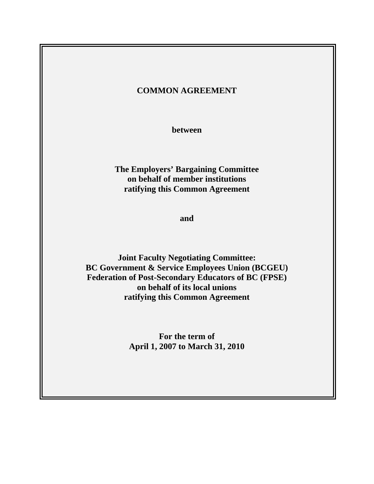# **COMMON AGREEMENT**

**between** 

**The Employers' Bargaining Committee on behalf of member institutions ratifying this Common Agreement** 

**and** 

**Joint Faculty Negotiating Committee: BC Government & Service Employees Union (BCGEU) Federation of Post-Secondary Educators of BC (FPSE) on behalf of its local unions ratifying this Common Agreement** 

> **For the term of April 1, 2007 to March 31, 2010**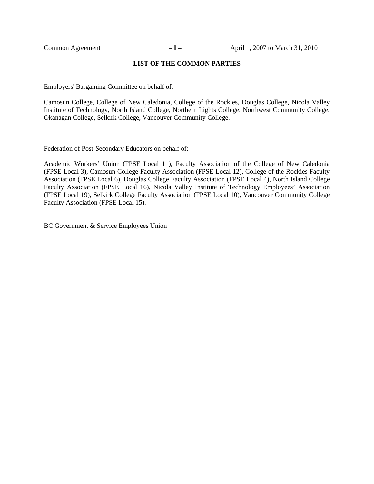#### **LIST OF THE COMMON PARTIES**

Employers' Bargaining Committee on behalf of:

Camosun College, College of New Caledonia, College of the Rockies, Douglas College, Nicola Valley Institute of Technology, North Island College, Northern Lights College, Northwest Community College, Okanagan College, Selkirk College, Vancouver Community College.

Federation of Post-Secondary Educators on behalf of:

Academic Workers' Union (FPSE Local 11), Faculty Association of the College of New Caledonia (FPSE Local 3), Camosun College Faculty Association (FPSE Local 12), College of the Rockies Faculty Association (FPSE Local 6), Douglas College Faculty Association (FPSE Local 4), North Island College Faculty Association (FPSE Local 16), Nicola Valley Institute of Technology Employees' Association (FPSE Local 19), Selkirk College Faculty Association (FPSE Local 10), Vancouver Community College Faculty Association (FPSE Local 15).

BC Government & Service Employees Union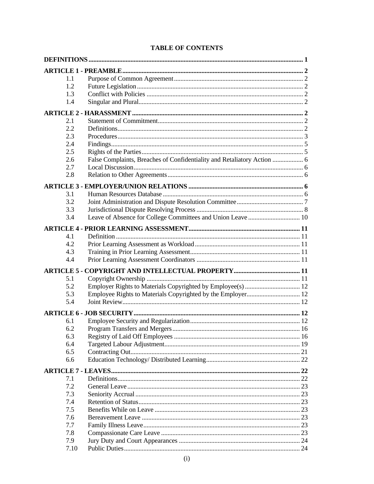| 1.1 |                                                                         |  |
|-----|-------------------------------------------------------------------------|--|
| 1.2 |                                                                         |  |
| 1.3 |                                                                         |  |
| 1.4 |                                                                         |  |
|     |                                                                         |  |
| 2.1 |                                                                         |  |
| 2.2 |                                                                         |  |
| 2.3 |                                                                         |  |
| 2.4 |                                                                         |  |
| 2.5 |                                                                         |  |
| 2.6 | False Complaints, Breaches of Confidentiality and Retaliatory Action  6 |  |
| 2.7 |                                                                         |  |
| 2.8 |                                                                         |  |
|     |                                                                         |  |
| 3.1 |                                                                         |  |
| 3.2 |                                                                         |  |
| 3.3 |                                                                         |  |
| 3.4 |                                                                         |  |
|     |                                                                         |  |
| 4.1 |                                                                         |  |
| 4.2 |                                                                         |  |
| 4.3 |                                                                         |  |
| 4.4 |                                                                         |  |
|     |                                                                         |  |
| 5.1 |                                                                         |  |
| 5.2 |                                                                         |  |
| 5.3 |                                                                         |  |
| 5.4 |                                                                         |  |
|     |                                                                         |  |
| 6.1 |                                                                         |  |
| 6.2 |                                                                         |  |
| 6.3 |                                                                         |  |
| 6.4 |                                                                         |  |
| 6.5 |                                                                         |  |
| 6.6 |                                                                         |  |
|     |                                                                         |  |
| 7.1 |                                                                         |  |
| 7.2 |                                                                         |  |
| 7.3 |                                                                         |  |
| 7.4 |                                                                         |  |
| 7.5 |                                                                         |  |
| 7.6 |                                                                         |  |
| 7.7 |                                                                         |  |
| 7.8 |                                                                         |  |
| 7.9 |                                                                         |  |
|     | 7.10                                                                    |  |

# **TABLE OF CONTENTS**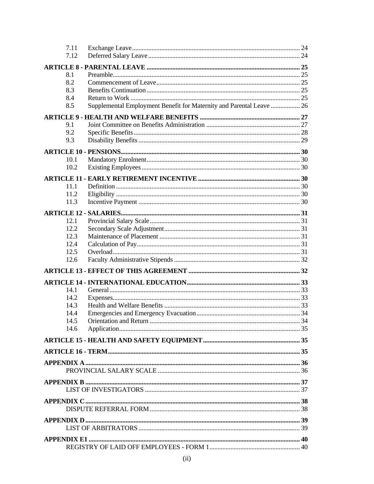| 7.11         |                                                                      |  |
|--------------|----------------------------------------------------------------------|--|
| 7.12         |                                                                      |  |
|              |                                                                      |  |
| 8.1          |                                                                      |  |
| 8.2          |                                                                      |  |
| 8.3          |                                                                      |  |
| 8.4          |                                                                      |  |
| 8.5          | Supplemental Employment Benefit for Maternity and Parental Leave  26 |  |
|              |                                                                      |  |
|              |                                                                      |  |
| 9.1          |                                                                      |  |
| 9.2<br>9.3   |                                                                      |  |
|              |                                                                      |  |
|              |                                                                      |  |
| 10.1         |                                                                      |  |
| 10.2         |                                                                      |  |
|              |                                                                      |  |
| 11.1         |                                                                      |  |
| 112          |                                                                      |  |
| 11.3         |                                                                      |  |
|              |                                                                      |  |
|              |                                                                      |  |
| 12.1<br>12.2 |                                                                      |  |
| 12.3         |                                                                      |  |
| 12.4         |                                                                      |  |
| 12.5         |                                                                      |  |
| 12.6         |                                                                      |  |
|              |                                                                      |  |
|              |                                                                      |  |
|              |                                                                      |  |
| 14.1         |                                                                      |  |
| 14.2         |                                                                      |  |
| 14.3         |                                                                      |  |
| 14.4         |                                                                      |  |
| 14.5         |                                                                      |  |
| 14.6         |                                                                      |  |
|              |                                                                      |  |
|              |                                                                      |  |
|              |                                                                      |  |
|              |                                                                      |  |
|              |                                                                      |  |
|              |                                                                      |  |
|              |                                                                      |  |
|              |                                                                      |  |
|              |                                                                      |  |
|              |                                                                      |  |
|              |                                                                      |  |
|              |                                                                      |  |
|              |                                                                      |  |
|              |                                                                      |  |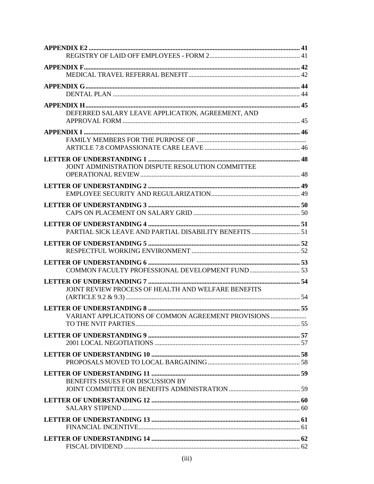| DEFERRED SALARY LEAVE APPLICATION, AGREEMENT, AND   |  |
|-----------------------------------------------------|--|
|                                                     |  |
|                                                     |  |
|                                                     |  |
|                                                     |  |
|                                                     |  |
| JOINT ADMINISTRATION DISPUTE RESOLUTION COMMITTEE   |  |
|                                                     |  |
|                                                     |  |
|                                                     |  |
|                                                     |  |
|                                                     |  |
|                                                     |  |
|                                                     |  |
|                                                     |  |
|                                                     |  |
|                                                     |  |
|                                                     |  |
|                                                     |  |
| JOINT REVIEW PROCESS OF HEALTH AND WELFARE BENEFITS |  |
|                                                     |  |
| VARIANT APPLICATIONS OF COMMON AGREEMENT PROVISIONS |  |
|                                                     |  |
|                                                     |  |
|                                                     |  |
|                                                     |  |
|                                                     |  |
|                                                     |  |
| BENEFITS ISSUES FOR DISCUSSION BY                   |  |
|                                                     |  |
|                                                     |  |
|                                                     |  |
|                                                     |  |
|                                                     |  |
|                                                     |  |
|                                                     |  |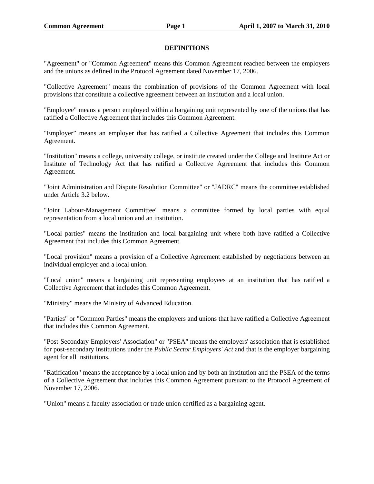#### **DEFINITIONS**

"Agreement" or "Common Agreement" means this Common Agreement reached between the employers and the unions as defined in the Protocol Agreement dated November 17, 2006.

"Collective Agreement" means the combination of provisions of the Common Agreement with local provisions that constitute a collective agreement between an institution and a local union.

"Employee" means a person employed within a bargaining unit represented by one of the unions that has ratified a Collective Agreement that includes this Common Agreement.

"Employer" means an employer that has ratified a Collective Agreement that includes this Common Agreement.

"Institution" means a college, university college, or institute created under the College and Institute Act or Institute of Technology Act that has ratified a Collective Agreement that includes this Common Agreement.

"Joint Administration and Dispute Resolution Committee" or "JADRC" means the committee established under Article 3.2 below.

"Joint Labour-Management Committee" means a committee formed by local parties with equal representation from a local union and an institution.

"Local parties" means the institution and local bargaining unit where both have ratified a Collective Agreement that includes this Common Agreement.

"Local provision" means a provision of a Collective Agreement established by negotiations between an individual employer and a local union.

"Local union" means a bargaining unit representing employees at an institution that has ratified a Collective Agreement that includes this Common Agreement.

"Ministry" means the Ministry of Advanced Education.

"Parties" or "Common Parties" means the employers and unions that have ratified a Collective Agreement that includes this Common Agreement.

"Post-Secondary Employers' Association" or "PSEA" means the employers' association that is established for post-secondary institutions under the *Public Sector Employers' Act* and that is the employer bargaining agent for all institutions.

"Ratification" means the acceptance by a local union and by both an institution and the PSEA of the terms of a Collective Agreement that includes this Common Agreement pursuant to the Protocol Agreement of November 17, 2006.

"Union" means a faculty association or trade union certified as a bargaining agent.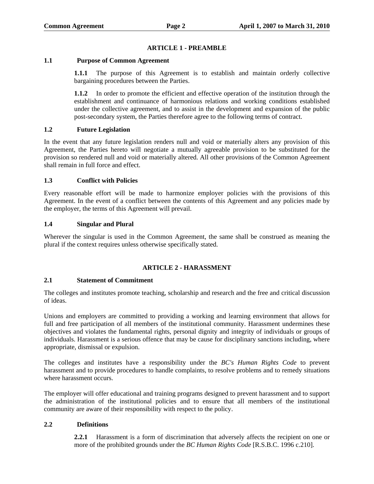## **ARTICLE 1 - PREAMBLE**

#### **1.1 Purpose of Common Agreement**

**1.1.1** The purpose of this Agreement is to establish and maintain orderly collective bargaining procedures between the Parties.

**1.1.2** In order to promote the efficient and effective operation of the institution through the establishment and continuance of harmonious relations and working conditions established under the collective agreement, and to assist in the development and expansion of the public post-secondary system, the Parties therefore agree to the following terms of contract.

#### **1.2 Future Legislation**

In the event that any future legislation renders null and void or materially alters any provision of this Agreement, the Parties hereto will negotiate a mutually agreeable provision to be substituted for the provision so rendered null and void or materially altered. All other provisions of the Common Agreement shall remain in full force and effect.

#### **1.3 Conflict with Policies**

Every reasonable effort will be made to harmonize employer policies with the provisions of this Agreement. In the event of a conflict between the contents of this Agreement and any policies made by the employer, the terms of this Agreement will prevail.

#### **1.4 Singular and Plural**

Wherever the singular is used in the Common Agreement, the same shall be construed as meaning the plural if the context requires unless otherwise specifically stated.

## **ARTICLE 2 - HARASSMENT**

#### **2.1 Statement of Commitment**

The colleges and institutes promote teaching, scholarship and research and the free and critical discussion of ideas.

Unions and employers are committed to providing a working and learning environment that allows for full and free participation of all members of the institutional community. Harassment undermines these objectives and violates the fundamental rights, personal dignity and integrity of individuals or groups of individuals. Harassment is a serious offence that may be cause for disciplinary sanctions including, where appropriate, dismissal or expulsion.

The colleges and institutes have a responsibility under the *BC's Human Rights Code* to prevent harassment and to provide procedures to handle complaints, to resolve problems and to remedy situations where harassment occurs.

The employer will offer educational and training programs designed to prevent harassment and to support the administration of the institutional policies and to ensure that all members of the institutional community are aware of their responsibility with respect to the policy.

## **2.2 Definitions**

**2.2.1** Harassment is a form of discrimination that adversely affects the recipient on one or more of the prohibited grounds under the *BC Human Rights Code* [R.S.B.C. 1996 c.210].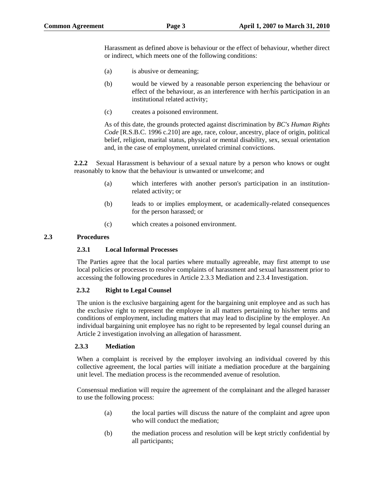Harassment as defined above is behaviour or the effect of behaviour, whether direct or indirect, which meets one of the following conditions:

- (a) is abusive or demeaning;
- (b) would be viewed by a reasonable person experiencing the behaviour or effect of the behaviour, as an interference with her/his participation in an institutional related activity;
- (c) creates a poisoned environment.

As of this date, the grounds protected against discrimination by *BC's Human Rights Code* [R.S.B.C. 1996 c.210] are age, race, colour, ancestry, place of origin, political belief, religion, marital status, physical or mental disability, sex, sexual orientation and, in the case of employment, unrelated criminal convictions.

**2.2.2** Sexual Harassment is behaviour of a sexual nature by a person who knows or ought reasonably to know that the behaviour is unwanted or unwelcome; and

- (a) which interferes with another person's participation in an institutionrelated activity; or
- (b) leads to or implies employment, or academically-related consequences for the person harassed; or
- (c) which creates a poisoned environment.

## **2.3 Procedures**

#### **2.3.1 Local Informal Processes**

The Parties agree that the local parties where mutually agreeable, may first attempt to use local policies or processes to resolve complaints of harassment and sexual harassment prior to accessing the following procedures in Article 2.3.3 Mediation and 2.3.4 Investigation.

## **2.3.2 Right to Legal Counsel**

The union is the exclusive bargaining agent for the bargaining unit employee and as such has the exclusive right to represent the employee in all matters pertaining to his/her terms and conditions of employment, including matters that may lead to discipline by the employer. An individual bargaining unit employee has no right to be represented by legal counsel during an Article 2 investigation involving an allegation of harassment.

#### **2.3.3 Mediation**

When a complaint is received by the employer involving an individual covered by this collective agreement, the local parties will initiate a mediation procedure at the bargaining unit level. The mediation process is the recommended avenue of resolution.

Consensual mediation will require the agreement of the complainant and the alleged harasser to use the following process:

- (a) the local parties will discuss the nature of the complaint and agree upon who will conduct the mediation;
- (b) the mediation process and resolution will be kept strictly confidential by all participants;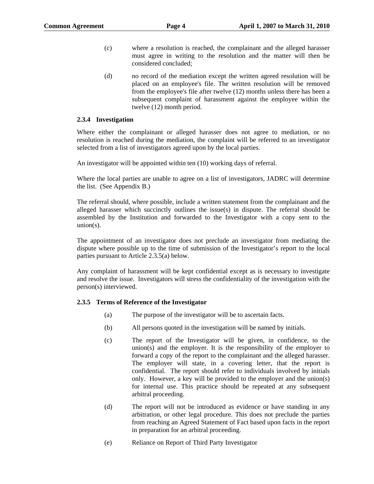- (c) where a resolution is reached, the complainant and the alleged harasser must agree in writing to the resolution and the matter will then be considered concluded;
- (d) no record of the mediation except the written agreed resolution will be placed on an employee's file. The written resolution will be removed from the employee's file after twelve (12) months unless there has been a subsequent complaint of harassment against the employee within the twelve (12) month period.

#### **2.3.4 Investigation**

Where either the complainant or alleged harasser does not agree to mediation, or no resolution is reached during the mediation, the complaint will be referred to an investigator selected from a list of investigators agreed upon by the local parties.

An investigator will be appointed within ten (10) working days of referral.

Where the local parties are unable to agree on a list of investigators, JADRC will determine the list. (See Appendix B.)

The referral should, where possible, include a written statement from the complainant and the alleged harasser which succinctly outlines the issue(s) in dispute. The referral should be assembled by the Institution and forwarded to the Investigator with a copy sent to the union(s).

The appointment of an investigator does not preclude an investigator from mediating the dispute where possible up to the time of submission of the Investigator's report to the local parties pursuant to Article 2.3.5(a) below.

Any complaint of harassment will be kept confidential except as is necessary to investigate and resolve the issue. Investigators will stress the confidentiality of the investigation with the person(s) interviewed.

#### **2.3.5 Terms of Reference of the Investigator**

- (a) The purpose of the investigator will be to ascertain facts.
- (b) All persons quoted in the investigation will be named by initials.
- (c) The report of the Investigator will be given, in confidence, to the union(s) and the employer. It is the responsibility of the employer to forward a copy of the report to the complainant and the alleged harasser. The employer will state, in a covering letter, that the report is confidential. The report should refer to individuals involved by initials only. However, a key will be provided to the employer and the union(s) for internal use. This practice should be repeated at any subsequent arbitral proceeding.
- (d) The report will not be introduced as evidence or have standing in any arbitration, or other legal procedure. This does not preclude the parties from reaching an Agreed Statement of Fact based upon facts in the report in preparation for an arbitral proceeding.
- (e) Reliance on Report of Third Party Investigator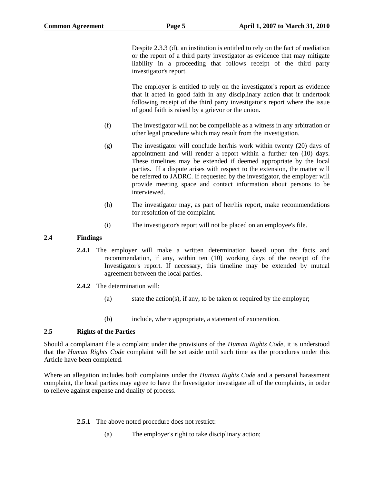Despite 2.3.3 (d), an institution is entitled to rely on the fact of mediation or the report of a third party investigator as evidence that may mitigate liability in a proceeding that follows receipt of the third party investigator's report.

The employer is entitled to rely on the investigator's report as evidence that it acted in good faith in any disciplinary action that it undertook following receipt of the third party investigator's report where the issue of good faith is raised by a grievor or the union.

- (f) The investigator will not be compellable as a witness in any arbitration or other legal procedure which may result from the investigation.
- (g) The investigator will conclude her/his work within twenty (20) days of appointment and will render a report within a further ten (10) days. These timelines may be extended if deemed appropriate by the local parties. If a dispute arises with respect to the extension, the matter will be referred to JADRC. If requested by the investigator, the employer will provide meeting space and contact information about persons to be interviewed.
- (h) The investigator may, as part of her/his report, make recommendations for resolution of the complaint.
- (i) The investigator's report will not be placed on an employee's file.

# **2.4 Findings**

- **2.4.1** The employer will make a written determination based upon the facts and recommendation, if any, within ten (10) working days of the receipt of the Investigator's report. If necessary, this timeline may be extended by mutual agreement between the local parties.
- **2.4.2** The determination will:
	- (a) state the action(s), if any, to be taken or required by the employer;
	- (b) include, where appropriate, a statement of exoneration.

## **2.5 Rights of the Parties**

Should a complainant file a complaint under the provisions of the *Human Rights Code*, it is understood that the *Human Rights Code* complaint will be set aside until such time as the procedures under this Article have been completed.

Where an allegation includes both complaints under the *Human Rights Code* and a personal harassment complaint, the local parties may agree to have the Investigator investigate all of the complaints, in order to relieve against expense and duality of process.

- **2.5.1** The above noted procedure does not restrict:
	- (a) The employer's right to take disciplinary action;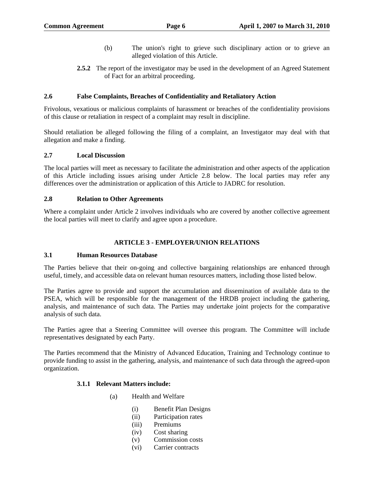- (b) The union's right to grieve such disciplinary action or to grieve an alleged violation of this Article.
- **2.5.2** The report of the investigator may be used in the development of an Agreed Statement of Fact for an arbitral proceeding.

#### **2.6 False Complaints, Breaches of Confidentiality and Retaliatory Action**

Frivolous, vexatious or malicious complaints of harassment or breaches of the confidentiality provisions of this clause or retaliation in respect of a complaint may result in discipline.

Should retaliation be alleged following the filing of a complaint, an Investigator may deal with that allegation and make a finding.

#### **2.7 Local Discussion**

The local parties will meet as necessary to facilitate the administration and other aspects of the application of this Article including issues arising under Article 2.8 below. The local parties may refer any differences over the administration or application of this Article to JADRC for resolution.

#### **2.8 Relation to Other Agreements**

Where a complaint under Article 2 involves individuals who are covered by another collective agreement the local parties will meet to clarify and agree upon a procedure.

#### **ARTICLE 3 - EMPLOYER/UNION RELATIONS**

#### **3.1 Human Resources Database**

The Parties believe that their on-going and collective bargaining relationships are enhanced through useful, timely, and accessible data on relevant human resources matters, including those listed below.

The Parties agree to provide and support the accumulation and dissemination of available data to the PSEA, which will be responsible for the management of the HRDB project including the gathering, analysis, and maintenance of such data. The Parties may undertake joint projects for the comparative analysis of such data.

The Parties agree that a Steering Committee will oversee this program. The Committee will include representatives designated by each Party.

The Parties recommend that the Ministry of Advanced Education, Training and Technology continue to provide funding to assist in the gathering, analysis, and maintenance of such data through the agreed-upon organization.

#### **3.1.1 Relevant Matters include:**

- (a) Health and Welfare
	- (i) Benefit Plan Designs
	- (ii) Participation rates
	- (iii) Premiums
	- (iv) Cost sharing
	- (v) Commission costs
	- (vi) Carrier contracts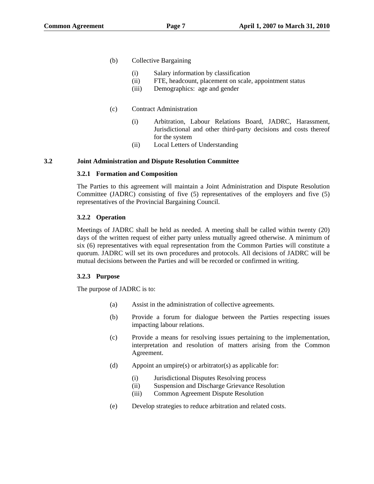- (b) Collective Bargaining
	- (i) Salary information by classification
	- (ii) FTE, headcount, placement on scale, appointment status
	- (iii) Demographics: age and gender

# (c) Contract Administration

- (i) Arbitration, Labour Relations Board, JADRC, Harassment, Jurisdictional and other third-party decisions and costs thereof for the system
- (ii) Local Letters of Understanding

## **3.2 Joint Administration and Dispute Resolution Committee**

## **3.2.1 Formation and Composition**

The Parties to this agreement will maintain a Joint Administration and Dispute Resolution Committee (JADRC) consisting of five (5) representatives of the employers and five (5) representatives of the Provincial Bargaining Council.

# **3.2.2 Operation**

Meetings of JADRC shall be held as needed. A meeting shall be called within twenty (20) days of the written request of either party unless mutually agreed otherwise. A minimum of six (6) representatives with equal representation from the Common Parties will constitute a quorum. JADRC will set its own procedures and protocols. All decisions of JADRC will be mutual decisions between the Parties and will be recorded or confirmed in writing.

## **3.2.3 Purpose**

The purpose of JADRC is to:

- (a) Assist in the administration of collective agreements.
- (b) Provide a forum for dialogue between the Parties respecting issues impacting labour relations.
- (c) Provide a means for resolving issues pertaining to the implementation, interpretation and resolution of matters arising from the Common Agreement.
- (d) Appoint an umpire(s) or arbitrator(s) as applicable for:
	- (i) Jurisdictional Disputes Resolving process
	- (ii) Suspension and Discharge Grievance Resolution
	- (iii) Common Agreement Dispute Resolution
- (e) Develop strategies to reduce arbitration and related costs.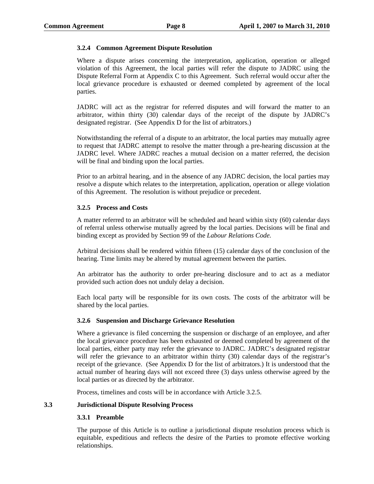#### **3.2.4 Common Agreement Dispute Resolution**

Where a dispute arises concerning the interpretation, application, operation or alleged violation of this Agreement, the local parties will refer the dispute to JADRC using the Dispute Referral Form at Appendix C to this Agreement. Such referral would occur after the local grievance procedure is exhausted or deemed completed by agreement of the local parties.

JADRC will act as the registrar for referred disputes and will forward the matter to an arbitrator, within thirty (30) calendar days of the receipt of the dispute by JADRC's designated registrar. (See Appendix D for the list of arbitrators.)

Notwithstanding the referral of a dispute to an arbitrator, the local parties may mutually agree to request that JADRC attempt to resolve the matter through a pre-hearing discussion at the JADRC level. Where JADRC reaches a mutual decision on a matter referred, the decision will be final and binding upon the local parties.

Prior to an arbitral hearing, and in the absence of any JADRC decision, the local parties may resolve a dispute which relates to the interpretation, application, operation or allege violation of this Agreement. The resolution is without prejudice or precedent.

#### **3.2.5 Process and Costs**

A matter referred to an arbitrator will be scheduled and heard within sixty (60) calendar days of referral unless otherwise mutually agreed by the local parties. Decisions will be final and binding except as provided by Section 99 of the *Labour Relations Code.*

Arbitral decisions shall be rendered within fifteen (15) calendar days of the conclusion of the hearing. Time limits may be altered by mutual agreement between the parties.

An arbitrator has the authority to order pre-hearing disclosure and to act as a mediator provided such action does not unduly delay a decision.

Each local party will be responsible for its own costs. The costs of the arbitrator will be shared by the local parties.

#### **3.2.6 Suspension and Discharge Grievance Resolution**

Where a grievance is filed concerning the suspension or discharge of an employee, and after the local grievance procedure has been exhausted or deemed completed by agreement of the local parties, either party may refer the grievance to JADRC. JADRC's designated registrar will refer the grievance to an arbitrator within thirty (30) calendar days of the registrar's receipt of the grievance. (See Appendix D for the list of arbitrators.) It is understood that the actual number of hearing days will not exceed three (3) days unless otherwise agreed by the local parties or as directed by the arbitrator.

Process, timelines and costs will be in accordance with Article 3.2.5.

#### **3.3 Jurisdictional Dispute Resolving Process**

#### **3.3.1 Preamble**

The purpose of this Article is to outline a jurisdictional dispute resolution process which is equitable, expeditious and reflects the desire of the Parties to promote effective working relationships.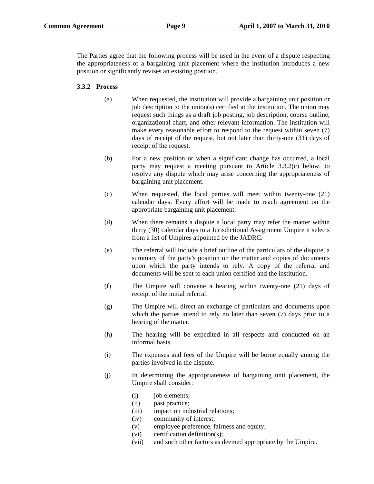The Parties agree that the following process will be used in the event of a dispute respecting the appropriateness of a bargaining unit placement where the institution introduces a new position or significantly revises an existing position.

## **3.3.2 Process**

- (a) When requested, the institution will provide a bargaining unit position or job description to the union(s) certified at the institution. The union may request such things as a draft job posting, job description, course outline, organizational chart, and other relevant information. The institution will make every reasonable effort to respond to the request within seven (7) days of receipt of the request, but not later than thirty-one (31) days of receipt of the request.
- (b) For a new position or when a significant change has occurred, a local party may request a meeting pursuant to Article 3.3.2(c) below, to resolve any dispute which may arise concerning the appropriateness of bargaining unit placement.
- (c) When requested, the local parties will meet within twenty-one (21) calendar days. Every effort will be made to reach agreement on the appropriate bargaining unit placement.
- (d) When there remains a dispute a local party may refer the matter within thirty (30) calendar days to a Jurisdictional Assignment Umpire it selects from a list of Umpires appointed by the JADRC.
- (e) The referral will include a brief outline of the particulars of the dispute, a summary of the party's position on the matter and copies of documents upon which the party intends to rely. A copy of the referral and documents will be sent to each union certified and the institution.
- (f) The Umpire will convene a hearing within twenty-one (21) days of receipt of the initial referral.
- (g) The Umpire will direct an exchange of particulars and documents upon which the parties intend to rely no later than seven (7) days prior to a hearing of the matter.
- (h) The hearing will be expedited in all respects and conducted on an informal basis.
- (i) The expenses and fees of the Umpire will be borne equally among the parties involved in the dispute.
- (j) In determining the appropriateness of bargaining unit placement, the Umpire shall consider:
	- (i) job elements;
	- (ii) past practice;
	- (iii) impact on industrial relations;
	- (iv) community of interest;
	- (v) employee preference, fairness and equity;
	- (vi) certification definition(s);
	- (vii) and such other factors as deemed appropriate by the Umpire.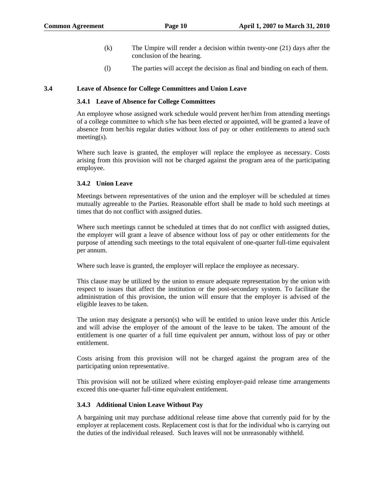- (k) The Umpire will render a decision within twenty-one (21) days after the conclusion of the hearing.
- (l) The parties will accept the decision as final and binding on each of them.

#### **3.4 Leave of Absence for College Committees and Union Leave**

#### **3.4.1 Leave of Absence for College Committees**

An employee whose assigned work schedule would prevent her/him from attending meetings of a college committee to which s/he has been elected or appointed, will be granted a leave of absence from her/his regular duties without loss of pay or other entitlements to attend such meeting(s).

Where such leave is granted, the employer will replace the employee as necessary. Costs arising from this provision will not be charged against the program area of the participating employee.

#### **3.4.2 Union Leave**

Meetings between representatives of the union and the employer will be scheduled at times mutually agreeable to the Parties. Reasonable effort shall be made to hold such meetings at times that do not conflict with assigned duties.

Where such meetings cannot be scheduled at times that do not conflict with assigned duties, the employer will grant a leave of absence without loss of pay or other entitlements for the purpose of attending such meetings to the total equivalent of one-quarter full-time equivalent per annum.

Where such leave is granted, the employer will replace the employee as necessary.

This clause may be utilized by the union to ensure adequate representation by the union with respect to issues that affect the institution or the post-secondary system. To facilitate the administration of this provision, the union will ensure that the employer is advised of the eligible leaves to be taken.

The union may designate a person(s) who will be entitled to union leave under this Article and will advise the employer of the amount of the leave to be taken. The amount of the entitlement is one quarter of a full time equivalent per annum, without loss of pay or other entitlement.

Costs arising from this provision will not be charged against the program area of the participating union representative.

This provision will not be utilized where existing employer-paid release time arrangements exceed this one-quarter full-time equivalent entitlement.

#### **3.4.3 Additional Union Leave Without Pay**

A bargaining unit may purchase additional release time above that currently paid for by the employer at replacement costs. Replacement cost is that for the individual who is carrying out the duties of the individual released. Such leaves will not be unreasonably withheld.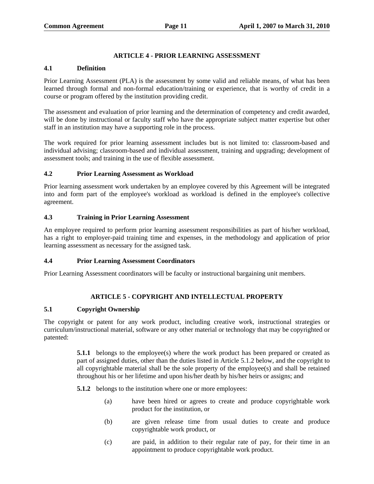# **ARTICLE 4 - PRIOR LEARNING ASSESSMENT**

#### **4.1 Definition**

Prior Learning Assessment (PLA) is the assessment by some valid and reliable means, of what has been learned through formal and non-formal education/training or experience, that is worthy of credit in a course or program offered by the institution providing credit.

The assessment and evaluation of prior learning and the determination of competency and credit awarded, will be done by instructional or faculty staff who have the appropriate subject matter expertise but other staff in an institution may have a supporting role in the process.

The work required for prior learning assessment includes but is not limited to: classroom-based and individual advising; classroom-based and individual assessment, training and upgrading; development of assessment tools; and training in the use of flexible assessment.

## **4.2 Prior Learning Assessment as Workload**

Prior learning assessment work undertaken by an employee covered by this Agreement will be integrated into and form part of the employee's workload as workload is defined in the employee's collective agreement.

## **4.3 Training in Prior Learning Assessment**

An employee required to perform prior learning assessment responsibilities as part of his/her workload, has a right to employer-paid training time and expenses, in the methodology and application of prior learning assessment as necessary for the assigned task.

## **4.4 Prior Learning Assessment Coordinators**

Prior Learning Assessment coordinators will be faculty or instructional bargaining unit members.

## **ARTICLE 5 - COPYRIGHT AND INTELLECTUAL PROPERTY**

# **5.1 Copyright Ownership**

The copyright or patent for any work product, including creative work, instructional strategies or curriculum/instructional material, software or any other material or technology that may be copyrighted or patented:

> **5.1.1** belongs to the employee(s) where the work product has been prepared or created as part of assigned duties, other than the duties listed in Article 5.1.2 below, and the copyright to all copyrightable material shall be the sole property of the employee(s) and shall be retained throughout his or her lifetime and upon his/her death by his/her heirs or assigns; and

**5.1.2** belongs to the institution where one or more employees:

- (a) have been hired or agrees to create and produce copyrightable work product for the institution, or
- (b) are given release time from usual duties to create and produce copyrightable work product, or
- (c) are paid, in addition to their regular rate of pay, for their time in an appointment to produce copyrightable work product.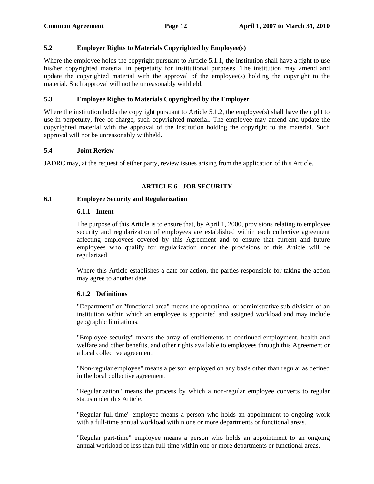# **5.2 Employer Rights to Materials Copyrighted by Employee(s)**

Where the employee holds the copyright pursuant to Article 5.1.1, the institution shall have a right to use his/her copyrighted material in perpetuity for institutional purposes. The institution may amend and update the copyrighted material with the approval of the employee(s) holding the copyright to the material. Such approval will not be unreasonably withheld.

## **5.3 Employee Rights to Materials Copyrighted by the Employer**

Where the institution holds the copyright pursuant to Article 5.1.2, the employee(s) shall have the right to use in perpetuity, free of charge, such copyrighted material. The employee may amend and update the copyrighted material with the approval of the institution holding the copyright to the material. Such approval will not be unreasonably withheld.

#### **5.4 Joint Review**

JADRC may, at the request of either party, review issues arising from the application of this Article.

# **ARTICLE 6 - JOB SECURITY**

#### **6.1 Employee Security and Regularization**

#### **6.1.1 Intent**

The purpose of this Article is to ensure that, by April 1, 2000, provisions relating to employee security and regularization of employees are established within each collective agreement affecting employees covered by this Agreement and to ensure that current and future employees who qualify for regularization under the provisions of this Article will be regularized.

Where this Article establishes a date for action, the parties responsible for taking the action may agree to another date.

## **6.1.2 Definitions**

"Department" or "functional area" means the operational or administrative sub-division of an institution within which an employee is appointed and assigned workload and may include geographic limitations.

"Employee security" means the array of entitlements to continued employment, health and welfare and other benefits, and other rights available to employees through this Agreement or a local collective agreement.

"Non-regular employee" means a person employed on any basis other than regular as defined in the local collective agreement.

"Regularization" means the process by which a non-regular employee converts to regular status under this Article.

"Regular full-time" employee means a person who holds an appointment to ongoing work with a full-time annual workload within one or more departments or functional areas.

"Regular part-time" employee means a person who holds an appointment to an ongoing annual workload of less than full-time within one or more departments or functional areas.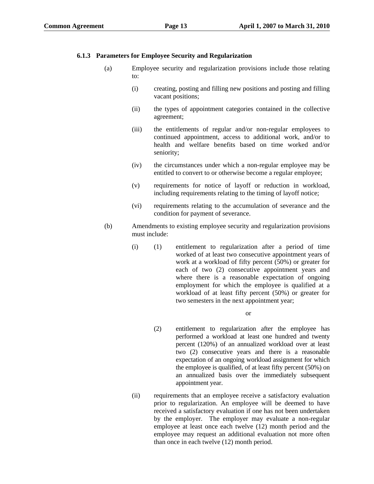## **6.1.3 Parameters for Employee Security and Regularization**

- (a) Employee security and regularization provisions include those relating to:
	- (i) creating, posting and filling new positions and posting and filling vacant positions;
	- (ii) the types of appointment categories contained in the collective agreement;
	- (iii) the entitlements of regular and/or non-regular employees to continued appointment, access to additional work, and/or to health and welfare benefits based on time worked and/or seniority;
	- (iv) the circumstances under which a non-regular employee may be entitled to convert to or otherwise become a regular employee;
	- (v) requirements for notice of layoff or reduction in workload, including requirements relating to the timing of layoff notice;
	- (vi) requirements relating to the accumulation of severance and the condition for payment of severance.
- (b) Amendments to existing employee security and regularization provisions must include:
	- (i) (1) entitlement to regularization after a period of time worked of at least two consecutive appointment years of work at a workload of fifty percent (50%) or greater for each of two (2) consecutive appointment years and where there is a reasonable expectation of ongoing employment for which the employee is qualified at a workload of at least fifty percent (50%) or greater for two semesters in the next appointment year;

or

- (2) entitlement to regularization after the employee has performed a workload at least one hundred and twenty percent (120%) of an annualized workload over at least two (2) consecutive years and there is a reasonable expectation of an ongoing workload assignment for which the employee is qualified, of at least fifty percent (50%) on an annualized basis over the immediately subsequent appointment year.
- (ii) requirements that an employee receive a satisfactory evaluation prior to regularization. An employee will be deemed to have received a satisfactory evaluation if one has not been undertaken by the employer. The employer may evaluate a non-regular employee at least once each twelve (12) month period and the employee may request an additional evaluation not more often than once in each twelve (12) month period.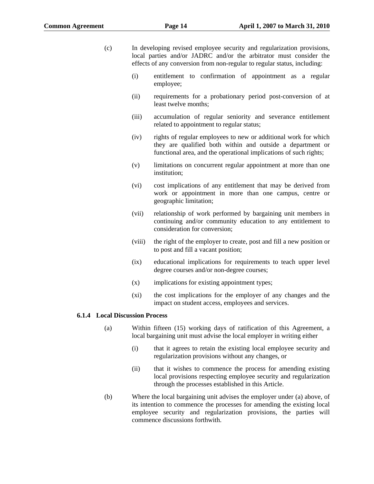- (c) In developing revised employee security and regularization provisions, local parties and/or JADRC and/or the arbitrator must consider the effects of any conversion from non-regular to regular status, including:
	- (i) entitlement to confirmation of appointment as a regular employee;
	- (ii) requirements for a probationary period post-conversion of at least twelve months;
	- (iii) accumulation of regular seniority and severance entitlement related to appointment to regular status;
	- (iv) rights of regular employees to new or additional work for which they are qualified both within and outside a department or functional area, and the operational implications of such rights;
	- (v) limitations on concurrent regular appointment at more than one institution;
	- (vi) cost implications of any entitlement that may be derived from work or appointment in more than one campus, centre or geographic limitation;
	- (vii) relationship of work performed by bargaining unit members in continuing and/or community education to any entitlement to consideration for conversion;
	- (viii) the right of the employer to create, post and fill a new position or to post and fill a vacant position;
	- (ix) educational implications for requirements to teach upper level degree courses and/or non-degree courses;
	- (x) implications for existing appointment types;
	- (xi) the cost implications for the employer of any changes and the impact on student access, employees and services.

#### **6.1.4 Local Discussion Process**

- (a) Within fifteen (15) working days of ratification of this Agreement, a local bargaining unit must advise the local employer in writing either
	- (i) that it agrees to retain the existing local employee security and regularization provisions without any changes, or
	- (ii) that it wishes to commence the process for amending existing local provisions respecting employee security and regularization through the processes established in this Article.
- (b) Where the local bargaining unit advises the employer under (a) above, of its intention to commence the processes for amending the existing local employee security and regularization provisions, the parties will commence discussions forthwith.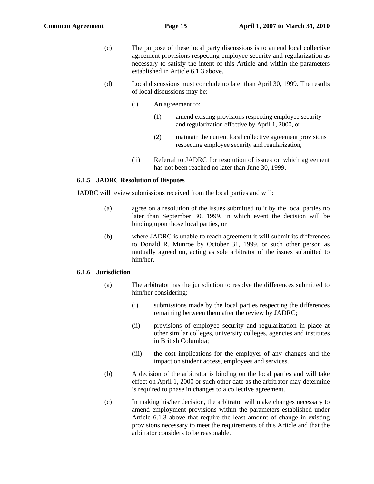- (c) The purpose of these local party discussions is to amend local collective agreement provisions respecting employee security and regularization as necessary to satisfy the intent of this Article and within the parameters established in Article 6.1.3 above.
- (d) Local discussions must conclude no later than April 30, 1999. The results of local discussions may be:
	- (i) An agreement to:
		- (1) amend existing provisions respecting employee security and regularization effective by April 1, 2000, or
		- (2) maintain the current local collective agreement provisions respecting employee security and regularization,
	- (ii) Referral to JADRC for resolution of issues on which agreement has not been reached no later than June 30, 1999.

#### **6.1.5 JADRC Resolution of Disputes**

JADRC will review submissions received from the local parties and will:

- (a) agree on a resolution of the issues submitted to it by the local parties no later than September 30, 1999, in which event the decision will be binding upon those local parties, or
- (b) where JADRC is unable to reach agreement it will submit its differences to Donald R. Munroe by October 31, 1999, or such other person as mutually agreed on, acting as sole arbitrator of the issues submitted to him/her.

#### **6.1.6 Jurisdiction**

- (a) The arbitrator has the jurisdiction to resolve the differences submitted to him/her considering:
	- (i) submissions made by the local parties respecting the differences remaining between them after the review by JADRC;
	- (ii) provisions of employee security and regularization in place at other similar colleges, university colleges, agencies and institutes in British Columbia;
	- (iii) the cost implications for the employer of any changes and the impact on student access, employees and services.
- (b) A decision of the arbitrator is binding on the local parties and will take effect on April 1, 2000 or such other date as the arbitrator may determine is required to phase in changes to a collective agreement.
- (c) In making his/her decision, the arbitrator will make changes necessary to amend employment provisions within the parameters established under Article 6.1.3 above that require the least amount of change in existing provisions necessary to meet the requirements of this Article and that the arbitrator considers to be reasonable.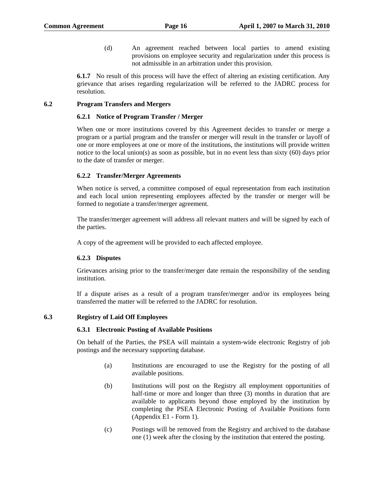(d) An agreement reached between local parties to amend existing provisions on employee security and regularization under this process is not admissible in an arbitration under this provision.

**6.1.7** No result of this process will have the effect of altering an existing certification. Any grievance that arises regarding regularization will be referred to the JADRC process for resolution.

#### **6.2 Program Transfers and Mergers**

#### **6.2.1 Notice of Program Transfer / Merger**

When one or more institutions covered by this Agreement decides to transfer or merge a program or a partial program and the transfer or merger will result in the transfer or layoff of one or more employees at one or more of the institutions, the institutions will provide written notice to the local union(s) as soon as possible, but in no event less than sixty (60) days prior to the date of transfer or merger.

#### **6.2.2 Transfer/Merger Agreements**

When notice is served, a committee composed of equal representation from each institution and each local union representing employees affected by the transfer or merger will be formed to negotiate a transfer/merger agreement.

The transfer/merger agreement will address all relevant matters and will be signed by each of the parties.

A copy of the agreement will be provided to each affected employee.

## **6.2.3 Disputes**

Grievances arising prior to the transfer/merger date remain the responsibility of the sending institution.

If a dispute arises as a result of a program transfer/merger and/or its employees being transferred the matter will be referred to the JADRC for resolution.

## **6.3 Registry of Laid Off Employees**

#### **6.3.1 Electronic Posting of Available Positions**

On behalf of the Parties, the PSEA will maintain a system-wide electronic Registry of job postings and the necessary supporting database.

- (a) Institutions are encouraged to use the Registry for the posting of all available positions.
- (b) Institutions will post on the Registry all employment opportunities of half-time or more and longer than three (3) months in duration that are available to applicants beyond those employed by the institution by completing the PSEA Electronic Posting of Available Positions form (Appendix E1 - Form 1).
- (c) Postings will be removed from the Registry and archived to the database one (1) week after the closing by the institution that entered the posting.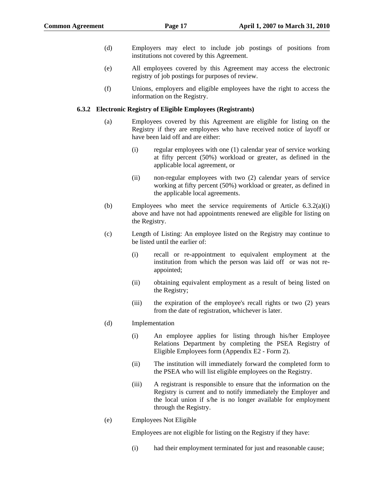- (d) Employers may elect to include job postings of positions from institutions not covered by this Agreement.
- (e) All employees covered by this Agreement may access the electronic registry of job postings for purposes of review.
- (f) Unions, employers and eligible employees have the right to access the information on the Registry.

#### **6.3.2 Electronic Registry of Eligible Employees (Registrants)**

- (a) Employees covered by this Agreement are eligible for listing on the Registry if they are employees who have received notice of layoff or have been laid off and are either:
	- (i) regular employees with one (1) calendar year of service working at fifty percent (50%) workload or greater, as defined in the applicable local agreement, or
	- (ii) non-regular employees with two (2) calendar years of service working at fifty percent (50%) workload or greater, as defined in the applicable local agreements.
- (b) Employees who meet the service requirements of Article 6.3.2(a)(i) above and have not had appointments renewed are eligible for listing on the Registry.
- (c) Length of Listing: An employee listed on the Registry may continue to be listed until the earlier of:
	- (i) recall or re-appointment to equivalent employment at the institution from which the person was laid off or was not reappointed;
	- (ii) obtaining equivalent employment as a result of being listed on the Registry;
	- (iii) the expiration of the employee's recall rights or two (2) years from the date of registration, whichever is later.
- (d) Implementation
	- (i) An employee applies for listing through his/her Employee Relations Department by completing the PSEA Registry of Eligible Employees form (Appendix E2 - Form 2).
	- (ii) The institution will immediately forward the completed form to the PSEA who will list eligible employees on the Registry.
	- (iii) A registrant is responsible to ensure that the information on the Registry is current and to notify immediately the Employer and the local union if s/he is no longer available for employment through the Registry.
- (e) Employees Not Eligible

Employees are not eligible for listing on the Registry if they have:

(i) had their employment terminated for just and reasonable cause;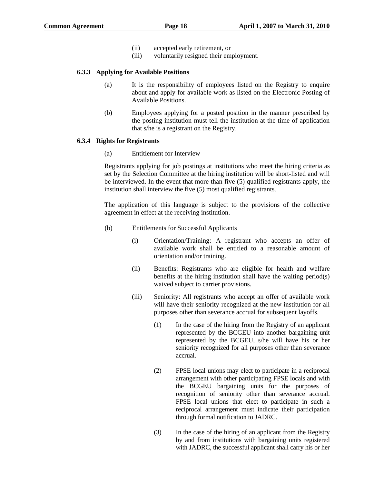- (ii) accepted early retirement, or
- (iii) voluntarily resigned their employment.

#### **6.3.3 Applying for Available Positions**

- (a) It is the responsibility of employees listed on the Registry to enquire about and apply for available work as listed on the Electronic Posting of Available Positions.
- (b) Employees applying for a posted position in the manner prescribed by the posting institution must tell the institution at the time of application that s/he is a registrant on the Registry.

## **6.3.4 Rights for Registrants**

(a) Entitlement for Interview

Registrants applying for job postings at institutions who meet the hiring criteria as set by the Selection Committee at the hiring institution will be short-listed and will be interviewed. In the event that more than five (5) qualified registrants apply, the institution shall interview the five (5) most qualified registrants.

The application of this language is subject to the provisions of the collective agreement in effect at the receiving institution.

- (b) Entitlements for Successful Applicants
	- (i) Orientation/Training: A registrant who accepts an offer of available work shall be entitled to a reasonable amount of orientation and/or training.
	- (ii) Benefits: Registrants who are eligible for health and welfare benefits at the hiring institution shall have the waiting period(s) waived subject to carrier provisions.
	- (iii) Seniority: All registrants who accept an offer of available work will have their seniority recognized at the new institution for all purposes other than severance accrual for subsequent layoffs.
		- (1) In the case of the hiring from the Registry of an applicant represented by the BCGEU into another bargaining unit represented by the BCGEU, s/he will have his or her seniority recognized for all purposes other than severance accrual.
		- (2) FPSE local unions may elect to participate in a reciprocal arrangement with other participating FPSE locals and with the BCGEU bargaining units for the purposes of recognition of seniority other than severance accrual. FPSE local unions that elect to participate in such a reciprocal arrangement must indicate their participation through formal notification to JADRC.
		- (3) In the case of the hiring of an applicant from the Registry by and from institutions with bargaining units registered with JADRC, the successful applicant shall carry his or her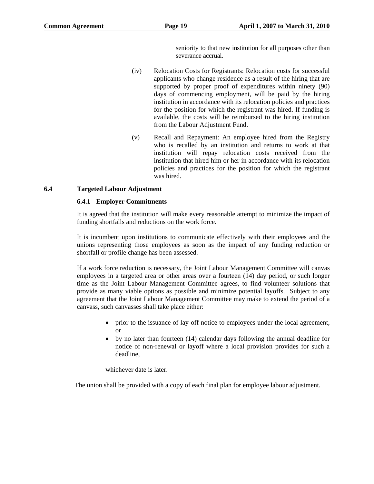seniority to that new institution for all purposes other than severance accrual.

- (iv) Relocation Costs for Registrants: Relocation costs for successful applicants who change residence as a result of the hiring that are supported by proper proof of expenditures within ninety (90) days of commencing employment, will be paid by the hiring institution in accordance with its relocation policies and practices for the position for which the registrant was hired. If funding is available, the costs will be reimbursed to the hiring institution from the Labour Adjustment Fund.
- (v) Recall and Repayment: An employee hired from the Registry who is recalled by an institution and returns to work at that institution will repay relocation costs received from the institution that hired him or her in accordance with its relocation policies and practices for the position for which the registrant was hired.

#### **6.4 Targeted Labour Adjustment**

#### **6.4.1 Employer Commitments**

It is agreed that the institution will make every reasonable attempt to minimize the impact of funding shortfalls and reductions on the work force.

It is incumbent upon institutions to communicate effectively with their employees and the unions representing those employees as soon as the impact of any funding reduction or shortfall or profile change has been assessed.

If a work force reduction is necessary, the Joint Labour Management Committee will canvas employees in a targeted area or other areas over a fourteen (14) day period, or such longer time as the Joint Labour Management Committee agrees, to find volunteer solutions that provide as many viable options as possible and minimize potential layoffs. Subject to any agreement that the Joint Labour Management Committee may make to extend the period of a canvass, such canvasses shall take place either:

- prior to the issuance of lay-off notice to employees under the local agreement, or
- by no later than fourteen (14) calendar days following the annual deadline for notice of non-renewal or layoff where a local provision provides for such a deadline,

whichever date is later.

The union shall be provided with a copy of each final plan for employee labour adjustment.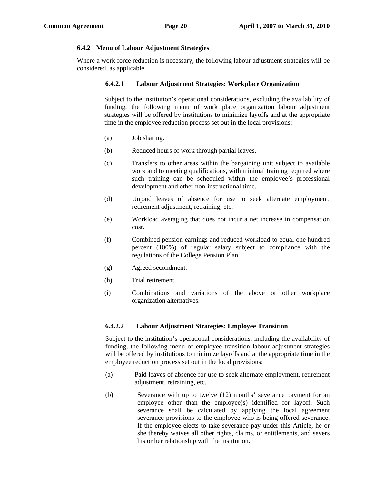## **6.4.2 Menu of Labour Adjustment Strategies**

Where a work force reduction is necessary, the following labour adjustment strategies will be considered, as applicable.

## **6.4.2.1 Labour Adjustment Strategies: Workplace Organization**

Subject to the institution's operational considerations, excluding the availability of funding, the following menu of work place organization labour adjustment strategies will be offered by institutions to minimize layoffs and at the appropriate time in the employee reduction process set out in the local provisions:

- (a) Job sharing.
- (b) Reduced hours of work through partial leaves.
- (c) Transfers to other areas within the bargaining unit subject to available work and to meeting qualifications, with minimal training required where such training can be scheduled within the employee's professional development and other non-instructional time.
- (d) Unpaid leaves of absence for use to seek alternate employment, retirement adjustment, retraining, etc.
- (e) Workload averaging that does not incur a net increase in compensation cost.
- (f) Combined pension earnings and reduced workload to equal one hundred percent (100%) of regular salary subject to compliance with the regulations of the College Pension Plan.
- (g) Agreed secondment.
- (h) Trial retirement.
- (i) Combinations and variations of the above or other workplace organization alternatives.

## **6.4.2.2 Labour Adjustment Strategies: Employee Transition**

Subject to the institution's operational considerations, including the availability of funding, the following menu of employee transition labour adjustment strategies will be offered by institutions to minimize layoffs and at the appropriate time in the employee reduction process set out in the local provisions:

- (a) Paid leaves of absence for use to seek alternate employment, retirement adjustment, retraining, etc.
- (b) Severance with up to twelve (12) months' severance payment for an employee other than the employee(s) identified for layoff. Such severance shall be calculated by applying the local agreement severance provisions to the employee who is being offered severance. If the employee elects to take severance pay under this Article, he or she thereby waives all other rights, claims, or entitlements, and severs his or her relationship with the institution.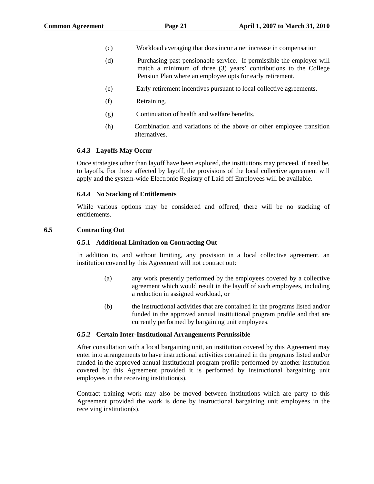- (c) Workload averaging that does incur a net increase in compensation
- (d) Purchasing past pensionable service. If permissible the employer will match a minimum of three (3) years' contributions to the College Pension Plan where an employee opts for early retirement.
- (e) Early retirement incentives pursuant to local collective agreements.
- (f) Retraining.
- (g) Continuation of health and welfare benefits.
- (h) Combination and variations of the above or other employee transition alternatives.

#### **6.4.3 Layoffs May Occur**

Once strategies other than layoff have been explored, the institutions may proceed, if need be, to layoffs. For those affected by layoff, the provisions of the local collective agreement will apply and the system-wide Electronic Registry of Laid off Employees will be available.

#### **6.4.4 No Stacking of Entitlements**

While various options may be considered and offered, there will be no stacking of entitlements.

#### **6.5 Contracting Out**

#### **6.5.1 Additional Limitation on Contracting Out**

In addition to, and without limiting, any provision in a local collective agreement, an institution covered by this Agreement will not contract out:

- (a) any work presently performed by the employees covered by a collective agreement which would result in the layoff of such employees, including a reduction in assigned workload, or
- (b) the instructional activities that are contained in the programs listed and/or funded in the approved annual institutional program profile and that are currently performed by bargaining unit employees.

#### **6.5.2 Certain Inter-Institutional Arrangements Permissible**

After consultation with a local bargaining unit, an institution covered by this Agreement may enter into arrangements to have instructional activities contained in the programs listed and/or funded in the approved annual institutional program profile performed by another institution covered by this Agreement provided it is performed by instructional bargaining unit employees in the receiving institution(s).

Contract training work may also be moved between institutions which are party to this Agreement provided the work is done by instructional bargaining unit employees in the receiving institution(s).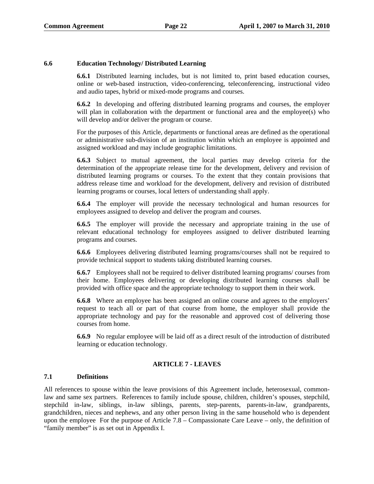## **6.6 Education Technology/ Distributed Learning**

**6.6.1** Distributed learning includes, but is not limited to, print based education courses, online or web-based instruction, video-conferencing, teleconferencing, instructional video and audio tapes, hybrid or mixed-mode programs and courses.

**6.6.2** In developing and offering distributed learning programs and courses, the employer will plan in collaboration with the department or functional area and the employee(s) who will develop and/or deliver the program or course.

For the purposes of this Article, departments or functional areas are defined as the operational or administrative sub-division of an institution within which an employee is appointed and assigned workload and may include geographic limitations.

**6.6.3** Subject to mutual agreement, the local parties may develop criteria for the determination of the appropriate release time for the development, delivery and revision of distributed learning programs or courses. To the extent that they contain provisions that address release time and workload for the development, delivery and revision of distributed learning programs or courses, local letters of understanding shall apply.

**6.6.4** The employer will provide the necessary technological and human resources for employees assigned to develop and deliver the program and courses.

**6.6.5** The employer will provide the necessary and appropriate training in the use of relevant educational technology for employees assigned to deliver distributed learning programs and courses.

**6.6.6** Employees delivering distributed learning programs/courses shall not be required to provide technical support to students taking distributed learning courses.

**6.6.7** Employees shall not be required to deliver distributed learning programs/ courses from their home. Employees delivering or developing distributed learning courses shall be provided with office space and the appropriate technology to support them in their work.

**6.6.8** Where an employee has been assigned an online course and agrees to the employers' request to teach all or part of that course from home, the employer shall provide the appropriate technology and pay for the reasonable and approved cost of delivering those courses from home.

**6.6.9** No regular employee will be laid off as a direct result of the introduction of distributed learning or education technology.

## **ARTICLE 7 - LEAVES**

## **7.1 Definitions**

All references to spouse within the leave provisions of this Agreement include, heterosexual, commonlaw and same sex partners. References to family include spouse, children, children's spouses, stepchild, stepchild in-law, siblings, in-law siblings, parents, step-parents, parents-in-law, grandparents, grandchildren, nieces and nephews, and any other person living in the same household who is dependent upon the employee For the purpose of Article 7.8 – Compassionate Care Leave – only, the definition of "family member" is as set out in Appendix I.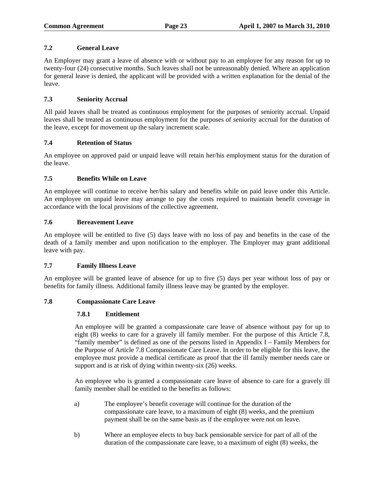# **7.2 General Leave**

An Employer may grant a leave of absence with or without pay to an employee for any reason for up to twenty-four (24) consecutive months. Such leaves shall not be unreasonably denied. Where an application for general leave is denied, the applicant will be provided with a written explanation for the denial of the leave.

# **7.3 Seniority Accrual**

All paid leaves shall be treated as continuous employment for the purposes of seniority accrual. Unpaid leaves shall be treated as continuous employment for the purposes of seniority accrual for the duration of the leave, except for movement up the salary increment scale.

# **7.4 Retention of Status**

An employee on approved paid or unpaid leave will retain her/his employment status for the duration of the leave.

# **7.5 Benefits While on Leave**

An employee will continue to receive her/his salary and benefits while on paid leave under this Article. An employee on unpaid leave may arrange to pay the costs required to maintain benefit coverage in accordance with the local provisions of the collective agreement.

## **7.6 Bereavement Leave**

An employee will be entitled to five (5) days leave with no loss of pay and benefits in the case of the death of a family member and upon notification to the employer. The Employer may grant additional leave with pay.

## **7.7 Family Illness Leave**

An employee will be granted leave of absence for up to five (5) days per year without loss of pay or benefits for family illness. Additional family illness leave may be granted by the employer.

## **7.8 Compassionate Care Leave**

## **7.8.1 Entitlement**

An employee will be granted a compassionate care leave of absence without pay for up to eight (8) weeks to care for a gravely ill family member. For the purpose of this Article 7.8, "family member" is defined as one of the persons listed in Appendix I – Family Members for the Purpose of Article 7.8 Compassionate Care Leave. In order to be eligible for this leave, the employee must provide a medical certificate as proof that the ill family member needs care or support and is at risk of dying within twenty-six (26) weeks.

An employee who is granted a compassionate care leave of absence to care for a gravely ill family member shall be entitled to the benefits as follows:

- a) The employee's benefit coverage will continue for the duration of the compassionate care leave, to a maximum of eight (8) weeks, and the premium payment shall be on the same basis as if the employee were not on leave.
- b) Where an employee elects to buy back pensionable service for part of all of the duration of the compassionate care leave, to a maximum of eight (8) weeks, the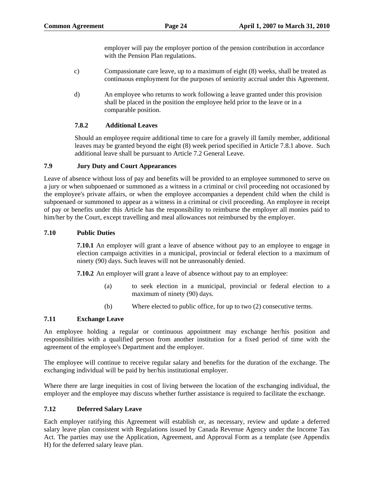employer will pay the employer portion of the pension contribution in accordance with the Pension Plan regulations.

- c) Compassionate care leave, up to a maximum of eight (8) weeks, shall be treated as continuous employment for the purposes of seniority accrual under this Agreement.
- d) An employee who returns to work following a leave granted under this provision shall be placed in the position the employee held prior to the leave or in a comparable position.

# **7.8.2 Additional Leaves**

Should an employee require additional time to care for a gravely ill family member, additional leaves may be granted beyond the eight (8) week period specified in Article 7.8.1 above. Such additional leave shall be pursuant to Article 7.2 General Leave.

# **7.9 Jury Duty and Court Appearances**

Leave of absence without loss of pay and benefits will be provided to an employee summoned to serve on a jury or when subpoenaed or summoned as a witness in a criminal or civil proceeding not occasioned by the employee's private affairs, or when the employee accompanies a dependent child when the child is subpoenaed or summoned to appear as a witness in a criminal or civil proceeding. An employee in receipt of pay or benefits under this Article has the responsibility to reimburse the employer all monies paid to him/her by the Court, except travelling and meal allowances not reimbursed by the employer.

## **7.10 Public Duties**

**7.10.1** An employer will grant a leave of absence without pay to an employee to engage in election campaign activities in a municipal, provincial or federal election to a maximum of ninety (90) days. Such leaves will not be unreasonably denied.

**7.10.2** An employer will grant a leave of absence without pay to an employee:

- (a) to seek election in a municipal, provincial or federal election to a maximum of ninety (90) days.
- (b) Where elected to public office, for up to two (2) consecutive terms.

# **7.11 Exchange Leave**

An employee holding a regular or continuous appointment may exchange her/his position and responsibilities with a qualified person from another institution for a fixed period of time with the agreement of the employee's Department and the employer.

The employee will continue to receive regular salary and benefits for the duration of the exchange. The exchanging individual will be paid by her/his institutional employer.

Where there are large inequities in cost of living between the location of the exchanging individual, the employer and the employee may discuss whether further assistance is required to facilitate the exchange.

# **7.12 Deferred Salary Leave**

Each employer ratifying this Agreement will establish or, as necessary, review and update a deferred salary leave plan consistent with Regulations issued by Canada Revenue Agency under the Income Tax Act. The parties may use the Application, Agreement, and Approval Form as a template (see Appendix H) for the deferred salary leave plan.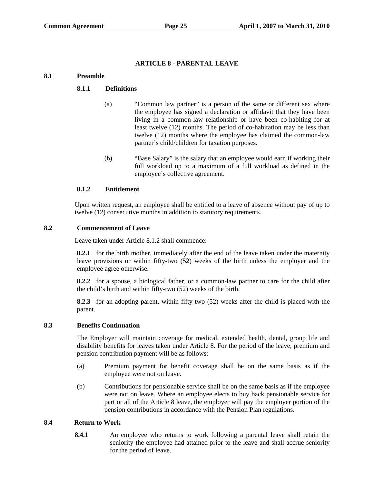## **ARTICLE 8 - PARENTAL LEAVE**

# **8.1 Preamble**

## **8.1.1 Definitions**

- (a) "Common law partner" is a person of the same or different sex where the employee has signed a declaration or affidavit that they have been living in a common-law relationship or have been co-habiting for at least twelve (12) months. The period of co-habitation may be less than twelve (12) months where the employee has claimed the common-law partner's child/children for taxation purposes.
- (b) "Base Salary" is the salary that an employee would earn if working their full workload up to a maximum of a full workload as defined in the employee's collective agreement.

## **8.1.2 Entitlement**

Upon written request, an employee shall be entitled to a leave of absence without pay of up to twelve (12) consecutive months in addition to statutory requirements.

## **8.2 Commencement of Leave**

Leave taken under Article 8.1.2 shall commence:

**8.2.1** for the birth mother, immediately after the end of the leave taken under the maternity leave provisions or within fifty-two (52) weeks of the birth unless the employer and the employee agree otherwise.

**8.2.2** for a spouse, a biological father, or a common-law partner to care for the child after the child's birth and within fifty-two (52) weeks of the birth.

**8.2.3** for an adopting parent, within fifty-two (52) weeks after the child is placed with the parent.

## **8.3 Benefits Continuation**

The Employer will maintain coverage for medical, extended health, dental, group life and disability benefits for leaves taken under Article 8. For the period of the leave, premium and pension contribution payment will be as follows:

- (a) Premium payment for benefit coverage shall be on the same basis as if the employee were not on leave.
- (b) Contributions for pensionable service shall be on the same basis as if the employee were not on leave. Where an employee elects to buy back pensionable service for part or all of the Article 8 leave, the employer will pay the employer portion of the pension contributions in accordance with the Pension Plan regulations.

## **8.4 Return to Work**

**8.4.1** An employee who returns to work following a parental leave shall retain the seniority the employee had attained prior to the leave and shall accrue seniority for the period of leave.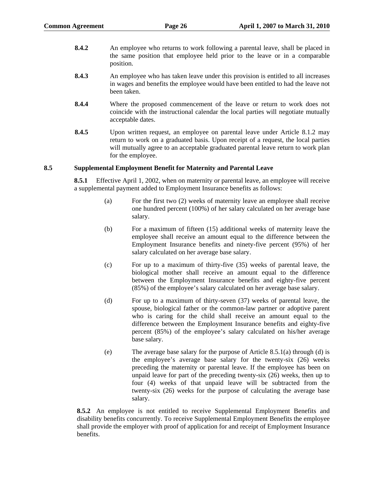- **8.4.2** An employee who returns to work following a parental leave, shall be placed in the same position that employee held prior to the leave or in a comparable position.
- **8.4.3** An employee who has taken leave under this provision is entitled to all increases in wages and benefits the employee would have been entitled to had the leave not been taken.
- **8.4.4** Where the proposed commencement of the leave or return to work does not coincide with the instructional calendar the local parties will negotiate mutually acceptable dates.
- **8.4.5** Upon written request, an employee on parental leave under Article 8.1.2 may return to work on a graduated basis. Upon receipt of a request, the local parties will mutually agree to an acceptable graduated parental leave return to work plan for the employee.

## **8.5 Supplemental Employment Benefit for Maternity and Parental Leave**

**8.5.1** Effective April 1, 2002, when on maternity or parental leave, an employee will receive a supplemental payment added to Employment Insurance benefits as follows:

- (a) For the first two (2) weeks of maternity leave an employee shall receive one hundred percent (100%) of her salary calculated on her average base salary.
- (b) For a maximum of fifteen (15) additional weeks of maternity leave the employee shall receive an amount equal to the difference between the Employment Insurance benefits and ninety-five percent (95%) of her salary calculated on her average base salary.
- (c) For up to a maximum of thirty-five (35) weeks of parental leave, the biological mother shall receive an amount equal to the difference between the Employment Insurance benefits and eighty-five percent (85%) of the employee's salary calculated on her average base salary.
- (d) For up to a maximum of thirty-seven (37) weeks of parental leave, the spouse, biological father or the common-law partner or adoptive parent who is caring for the child shall receive an amount equal to the difference between the Employment Insurance benefits and eighty-five percent (85%) of the employee's salary calculated on his/her average base salary.
- (e) The average base salary for the purpose of Article 8.5.1(a) through (d) is the employee's average base salary for the twenty-six (26) weeks preceding the maternity or parental leave. If the employee has been on unpaid leave for part of the preceding twenty-six (26) weeks, then up to four (4) weeks of that unpaid leave will be subtracted from the twenty-six (26) weeks for the purpose of calculating the average base salary.

**8.5.2** An employee is not entitled to receive Supplemental Employment Benefits and disability benefits concurrently. To receive Supplemental Employment Benefits the employee shall provide the employer with proof of application for and receipt of Employment Insurance benefits.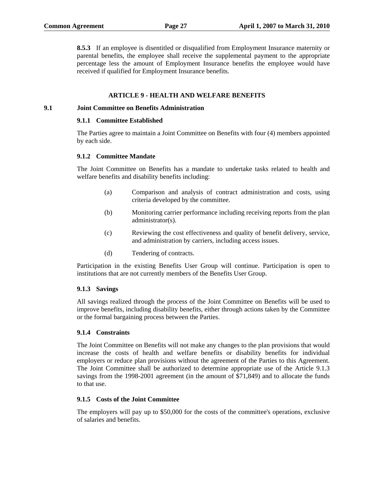**8.5.3** If an employee is disentitled or disqualified from Employment Insurance maternity or parental benefits, the employee shall receive the supplemental payment to the appropriate percentage less the amount of Employment Insurance benefits the employee would have received if qualified for Employment Insurance benefits.

#### **ARTICLE 9 - HEALTH AND WELFARE BENEFITS**

#### **9.1 Joint Committee on Benefits Administration**

#### **9.1.1 Committee Established**

The Parties agree to maintain a Joint Committee on Benefits with four (4) members appointed by each side.

#### **9.1.2 Committee Mandate**

The Joint Committee on Benefits has a mandate to undertake tasks related to health and welfare benefits and disability benefits including:

- (a) Comparison and analysis of contract administration and costs, using criteria developed by the committee.
- (b) Monitoring carrier performance including receiving reports from the plan administrator(s).
- (c) Reviewing the cost effectiveness and quality of benefit delivery, service, and administration by carriers, including access issues.
- (d) Tendering of contracts.

Participation in the existing Benefits User Group will continue. Participation is open to institutions that are not currently members of the Benefits User Group.

#### **9.1.3 Savings**

All savings realized through the process of the Joint Committee on Benefits will be used to improve benefits, including disability benefits, either through actions taken by the Committee or the formal bargaining process between the Parties.

#### **9.1.4 Constraints**

The Joint Committee on Benefits will not make any changes to the plan provisions that would increase the costs of health and welfare benefits or disability benefits for individual employers or reduce plan provisions without the agreement of the Parties to this Agreement. The Joint Committee shall be authorized to determine appropriate use of the Article 9.1.3 savings from the 1998-2001 agreement (in the amount of \$71,849) and to allocate the funds to that use.

#### **9.1.5 Costs of the Joint Committee**

The employers will pay up to \$50,000 for the costs of the committee's operations, exclusive of salaries and benefits.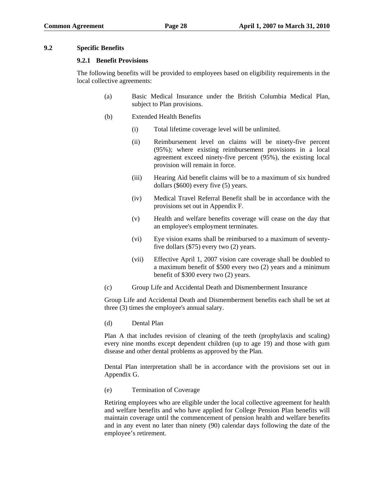#### **9.2 Specific Benefits**

#### **9.2.1 Benefit Provisions**

The following benefits will be provided to employees based on eligibility requirements in the local collective agreements:

- (a) Basic Medical Insurance under the British Columbia Medical Plan, subject to Plan provisions.
- (b) Extended Health Benefits
	- (i) Total lifetime coverage level will be unlimited.
	- (ii) Reimbursement level on claims will be ninety-five percent (95%); where existing reimbursement provisions in a local agreement exceed ninety-five percent (95%), the existing local provision will remain in force.
	- (iii) Hearing Aid benefit claims will be to a maximum of six hundred dollars (\$600) every five (5) years.
	- (iv) Medical Travel Referral Benefit shall be in accordance with the provisions set out in Appendix F.
	- (v) Health and welfare benefits coverage will cease on the day that an employee's employment terminates.
	- (vi) Eye vision exams shall be reimbursed to a maximum of seventyfive dollars (\$75) every two (2) years.
	- (vii) Effective April 1, 2007 vision care coverage shall be doubled to a maximum benefit of \$500 every two (2) years and a minimum benefit of \$300 every two (2) years.
- (c) Group Life and Accidental Death and Dismemberment Insurance

Group Life and Accidental Death and Dismemberment benefits each shall be set at three (3) times the employee's annual salary.

(d) Dental Plan

Plan A that includes revision of cleaning of the teeth (prophylaxis and scaling) every nine months except dependent children (up to age 19) and those with gum disease and other dental problems as approved by the Plan.

Dental Plan interpretation shall be in accordance with the provisions set out in Appendix G.

(e) Termination of Coverage

Retiring employees who are eligible under the local collective agreement for health and welfare benefits and who have applied for College Pension Plan benefits will maintain coverage until the commencement of pension health and welfare benefits and in any event no later than ninety (90) calendar days following the date of the employee's retirement.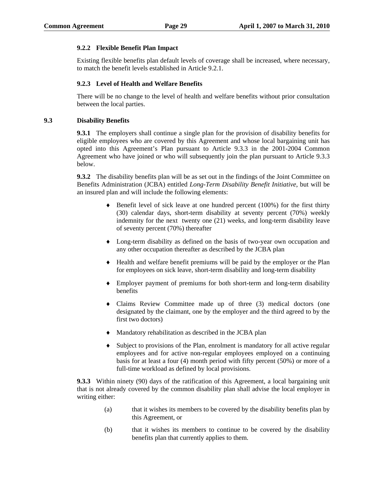## **9.2.2 Flexible Benefit Plan Impact**

Existing flexible benefits plan default levels of coverage shall be increased, where necessary, to match the benefit levels established in Article 9.2.1.

# **9.2.3 Level of Health and Welfare Benefits**

There will be no change to the level of health and welfare benefits without prior consultation between the local parties.

#### **9.3 Disability Benefits**

**9.3.1** The employers shall continue a single plan for the provision of disability benefits for eligible employees who are covered by this Agreement and whose local bargaining unit has opted into this Agreement's Plan pursuant to Article 9.3.3 in the 2001-2004 Common Agreement who have joined or who will subsequently join the plan pursuant to Article 9.3.3 below.

**9.3.2** The disability benefits plan will be as set out in the findings of the Joint Committee on Benefits Administration (JCBA) entitled *Long-Term Disability Benefit Initiative*, but will be an insured plan and will include the following elements:

- ♦ Benefit level of sick leave at one hundred percent (100%) for the first thirty (30) calendar days, short-term disability at seventy percent (70%) weekly indemnity for the next twenty one (21) weeks, and long-term disability leave of seventy percent (70%) thereafter
- ♦ Long-term disability as defined on the basis of two-year own occupation and any other occupation thereafter as described by the JCBA plan
- ♦ Health and welfare benefit premiums will be paid by the employer or the Plan for employees on sick leave, short-term disability and long-term disability
- ♦ Employer payment of premiums for both short-term and long-term disability benefits
- ♦ Claims Review Committee made up of three (3) medical doctors (one designated by the claimant, one by the employer and the third agreed to by the first two doctors)
- ♦ Mandatory rehabilitation as described in the JCBA plan
- ♦ Subject to provisions of the Plan, enrolment is mandatory for all active regular employees and for active non-regular employees employed on a continuing basis for at least a four (4) month period with fifty percent (50%) or more of a full-time workload as defined by local provisions.

**9.3.3** Within ninety (90) days of the ratification of this Agreement, a local bargaining unit that is not already covered by the common disability plan shall advise the local employer in writing either:

- (a) that it wishes its members to be covered by the disability benefits plan by this Agreement, or
- (b) that it wishes its members to continue to be covered by the disability benefits plan that currently applies to them.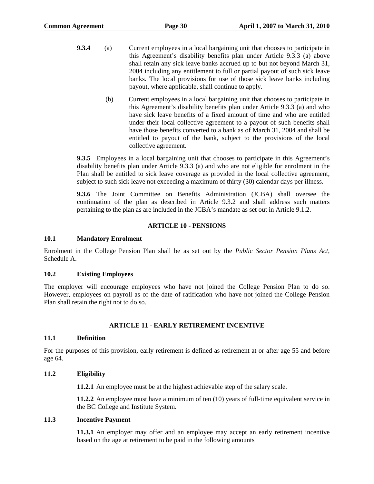- **9.3.4** (a) Current employees in a local bargaining unit that chooses to participate in this Agreement's disability benefits plan under Article 9.3.3 (a) above shall retain any sick leave banks accrued up to but not beyond March 31, 2004 including any entitlement to full or partial payout of such sick leave banks. The local provisions for use of those sick leave banks including payout, where applicable, shall continue to apply.
	- (b) Current employees in a local bargaining unit that chooses to participate in this Agreement's disability benefits plan under Article 9.3.3 (a) and who have sick leave benefits of a fixed amount of time and who are entitled under their local collective agreement to a payout of such benefits shall have those benefits converted to a bank as of March 31, 2004 and shall be entitled to payout of the bank, subject to the provisions of the local collective agreement.

**9.3.5** Employees in a local bargaining unit that chooses to participate in this Agreement's disability benefits plan under Article 9.3.3 (a) and who are not eligible for enrolment in the Plan shall be entitled to sick leave coverage as provided in the local collective agreement, subject to such sick leave not exceeding a maximum of thirty (30) calendar days per illness.

**9.3.6** The Joint Committee on Benefits Administration (JCBA) shall oversee the continuation of the plan as described in Article 9.3.2 and shall address such matters pertaining to the plan as are included in the JCBA's mandate as set out in Article 9.1.2.

## **ARTICLE 10 - PENSIONS**

## **10.1 Mandatory Enrolment**

Enrolment in the College Pension Plan shall be as set out by the *Public Sector Pension Plans Act*, Schedule A.

## **10.2 Existing Employees**

The employer will encourage employees who have not joined the College Pension Plan to do so. However, employees on payroll as of the date of ratification who have not joined the College Pension Plan shall retain the right not to do so.

## **ARTICLE 11 - EARLY RETIREMENT INCENTIVE**

## **11.1 Definition**

For the purposes of this provision, early retirement is defined as retirement at or after age 55 and before age 64.

## **11.2 Eligibility**

**11.2.1** An employee must be at the highest achievable step of the salary scale.

**11.2.2** An employee must have a minimum of ten (10) years of full-time equivalent service in the BC College and Institute System.

## **11.3 Incentive Payment**

**11.3.1** An employer may offer and an employee may accept an early retirement incentive based on the age at retirement to be paid in the following amounts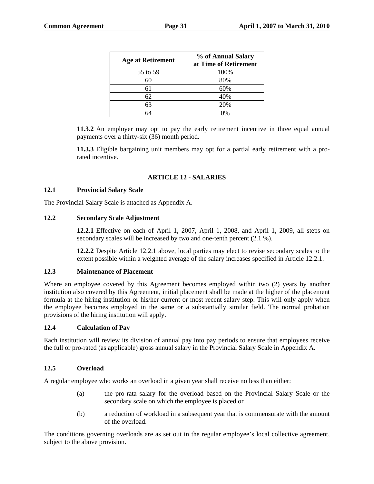| % of Annual Salary<br>at Time of Retirement |
|---------------------------------------------|
| 100%                                        |
| 80%                                         |
| 60%                                         |
| 40%                                         |
| 20%                                         |
|                                             |

64 0%

**11.3.2** An employer may opt to pay the early retirement incentive in three equal annual payments over a thirty-six (36) month period.

**11.3.3** Eligible bargaining unit members may opt for a partial early retirement with a prorated incentive.

## **ARTICLE 12 - SALARIES**

## **12.1 Provincial Salary Scale**

The Provincial Salary Scale is attached as Appendix A.

## **12.2 Secondary Scale Adjustment**

**12.2.1** Effective on each of April 1, 2007, April 1, 2008, and April 1, 2009, all steps on secondary scales will be increased by two and one-tenth percent (2.1 %).

**12.2.2** Despite Article 12.2.1 above, local parties may elect to revise secondary scales to the extent possible within a weighted average of the salary increases specified in Article 12.2.1.

#### **12.3 Maintenance of Placement**

Where an employee covered by this Agreement becomes employed within two (2) years by another institution also covered by this Agreement, initial placement shall be made at the higher of the placement formula at the hiring institution or his/her current or most recent salary step. This will only apply when the employee becomes employed in the same or a substantially similar field. The normal probation provisions of the hiring institution will apply.

## **12.4 Calculation of Pay**

Each institution will review its division of annual pay into pay periods to ensure that employees receive the full or pro-rated (as applicable) gross annual salary in the Provincial Salary Scale in Appendix A.

## **12.5 Overload**

A regular employee who works an overload in a given year shall receive no less than either:

- (a) the pro-rata salary for the overload based on the Provincial Salary Scale or the secondary scale on which the employee is placed or
- (b) a reduction of workload in a subsequent year that is commensurate with the amount of the overload.

The conditions governing overloads are as set out in the regular employee's local collective agreement, subject to the above provision.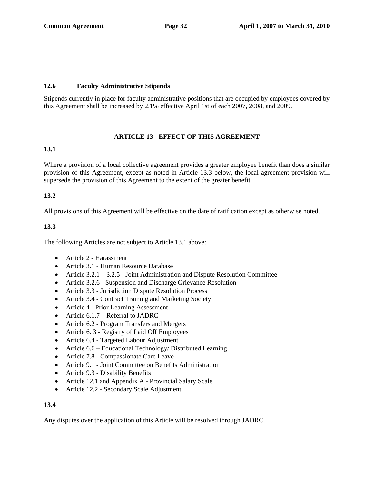# **12.6 Faculty Administrative Stipends**

Stipends currently in place for faculty administrative positions that are occupied by employees covered by this Agreement shall be increased by 2.1% effective April 1st of each 2007, 2008, and 2009.

# **ARTICLE 13 - EFFECT OF THIS AGREEMENT**

# **13.1**

Where a provision of a local collective agreement provides a greater employee benefit than does a similar provision of this Agreement, except as noted in Article 13.3 below, the local agreement provision will supersede the provision of this Agreement to the extent of the greater benefit.

# **13.2**

All provisions of this Agreement will be effective on the date of ratification except as otherwise noted.

# **13.3**

The following Articles are not subject to Article 13.1 above:

- Article 2 Harassment
- Article 3.1 Human Resource Database
- Article 3.2.1 3.2.5 Joint Administration and Dispute Resolution Committee
- Article 3.2.6 Suspension and Discharge Grievance Resolution
- Article 3.3 Jurisdiction Dispute Resolution Process
- Article 3.4 Contract Training and Marketing Society
- Article 4 Prior Learning Assessment
- Article 6.1.7 Referral to JADRC
- Article 6.2 Program Transfers and Mergers
- Article 6. 3 Registry of Laid Off Employees
- Article 6.4 Targeted Labour Adjustment
- Article 6.6 Educational Technology/ Distributed Learning
- Article 7.8 Compassionate Care Leave
- Article 9.1 Joint Committee on Benefits Administration
- Article 9.3 Disability Benefits
- Article 12.1 and Appendix A Provincial Salary Scale
- Article 12.2 Secondary Scale Adjustment

# **13.4**

Any disputes over the application of this Article will be resolved through JADRC.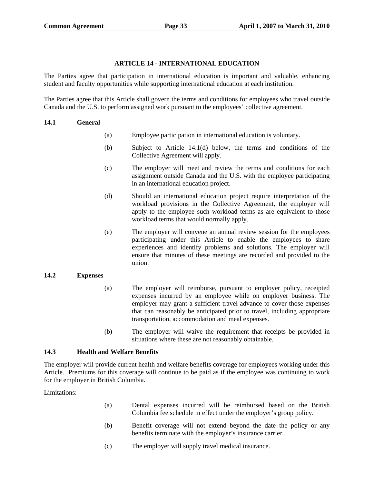#### **ARTICLE 14 - INTERNATIONAL EDUCATION**

The Parties agree that participation in international education is important and valuable, enhancing student and faculty opportunities while supporting international education at each institution.

The Parties agree that this Article shall govern the terms and conditions for employees who travel outside Canada and the U.S. to perform assigned work pursuant to the employees' collective agreement.

#### **14.1 General**

- (a) Employee participation in international education is voluntary.
- (b) Subject to Article 14.1(d) below, the terms and conditions of the Collective Agreement will apply.
- (c) The employer will meet and review the terms and conditions for each assignment outside Canada and the U.S. with the employee participating in an international education project.
- (d) Should an international education project require interpretation of the workload provisions in the Collective Agreement, the employer will apply to the employee such workload terms as are equivalent to those workload terms that would normally apply.
- (e) The employer will convene an annual review session for the employees participating under this Article to enable the employees to share experiences and identify problems and solutions. The employer will ensure that minutes of these meetings are recorded and provided to the union.

## **14.2 Expenses**

- (a) The employer will reimburse, pursuant to employer policy, receipted expenses incurred by an employee while on employer business. The employer may grant a sufficient travel advance to cover those expenses that can reasonably be anticipated prior to travel, including appropriate transportation, accommodation and meal expenses.
- (b) The employer will waive the requirement that receipts be provided in situations where these are not reasonably obtainable.

## **14.3 Health and Welfare Benefits**

The employer will provide current health and welfare benefits coverage for employees working under this Article. Premiums for this coverage will continue to be paid as if the employee was continuing to work for the employer in British Columbia.

Limitations:

- (a) Dental expenses incurred will be reimbursed based on the British Columbia fee schedule in effect under the employer's group policy.
- (b) Benefit coverage will not extend beyond the date the policy or any benefits terminate with the employer's insurance carrier.
- (c) The employer will supply travel medical insurance.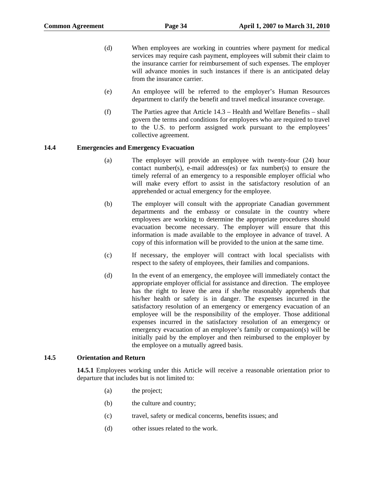- (d) When employees are working in countries where payment for medical services may require cash payment, employees will submit their claim to the insurance carrier for reimbursement of such expenses. The employer will advance monies in such instances if there is an anticipated delay from the insurance carrier.
- (e) An employee will be referred to the employer's Human Resources department to clarify the benefit and travel medical insurance coverage.
- (f) The Parties agree that Article 14.3 Health and Welfare Benefits shall govern the terms and conditions for employees who are required to travel to the U.S. to perform assigned work pursuant to the employees' collective agreement.

## **14.4 Emergencies and Emergency Evacuation**

- (a) The employer will provide an employee with twenty-four (24) hour contact number(s), e-mail address(es) or fax number(s) to ensure the timely referral of an emergency to a responsible employer official who will make every effort to assist in the satisfactory resolution of an apprehended or actual emergency for the employee.
- (b) The employer will consult with the appropriate Canadian government departments and the embassy or consulate in the country where employees are working to determine the appropriate procedures should evacuation become necessary. The employer will ensure that this information is made available to the employee in advance of travel. A copy of this information will be provided to the union at the same time.
- (c) If necessary, the employer will contract with local specialists with respect to the safety of employees, their families and companions.
- (d) In the event of an emergency, the employee will immediately contact the appropriate employer official for assistance and direction. The employee has the right to leave the area if she/he reasonably apprehends that his/her health or safety is in danger. The expenses incurred in the satisfactory resolution of an emergency or emergency evacuation of an employee will be the responsibility of the employer. Those additional expenses incurred in the satisfactory resolution of an emergency or emergency evacuation of an employee's family or companion(s) will be initially paid by the employer and then reimbursed to the employer by the employee on a mutually agreed basis.

## **14.5 Orientation and Return**

**14.5.1** Employees working under this Article will receive a reasonable orientation prior to departure that includes but is not limited to:

- (a) the project;
- (b) the culture and country;
- (c) travel, safety or medical concerns, benefits issues; and
- (d) other issues related to the work.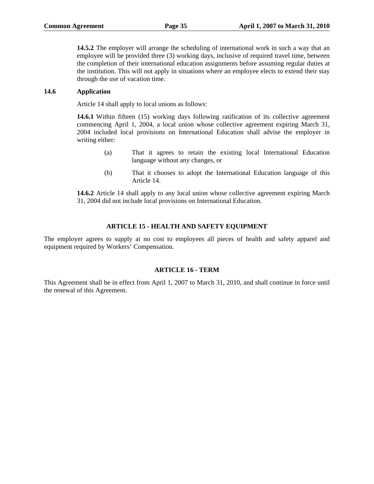**14.5.2** The employer will arrange the scheduling of international work in such a way that an employee will be provided three (3) working days, inclusive of required travel time, between the completion of their international education assignments before assuming regular duties at the institution. This will not apply in situations where an employee elects to extend their stay through the use of vacation time.

#### **14.6 Application**

Article 14 shall apply to local unions as follows:

**14.6.1** Within fifteen (15) working days following ratification of its collective agreement commencing April 1, 2004, a local union whose collective agreement expiring March 31, 2004 included local provisions on International Education shall advise the employer in writing either:

- (a) That it agrees to retain the existing local International Education language without any changes, or
- (b) That it chooses to adopt the International Education language of this Article 14.

**14.6.2** Article 14 shall apply to any local union whose collective agreement expiring March 31, 2004 did not include local provisions on International Education.

## **ARTICLE 15 - HEALTH AND SAFETY EQUIPMENT**

The employer agrees to supply at no cost to employees all pieces of health and safety apparel and equipment required by Workers' Compensation.

#### **ARTICLE 16 - TERM**

This Agreement shall be in effect from April 1, 2007 to March 31, 2010, and shall continue in force until the renewal of this Agreement.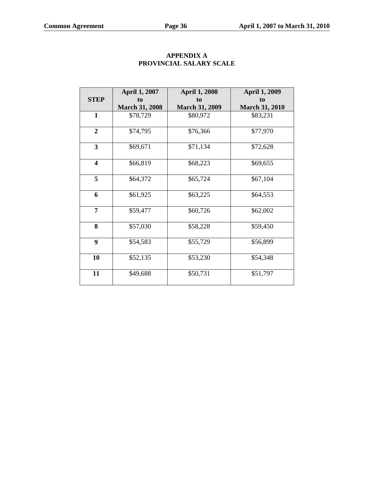|                         | <b>April 1, 2007</b>  | <b>April 1, 2008</b>  | <b>April 1, 2009</b>  |
|-------------------------|-----------------------|-----------------------|-----------------------|
| <b>STEP</b>             | to                    | to                    | to                    |
|                         | <b>March 31, 2008</b> | <b>March 31, 2009</b> | <b>March 31, 2010</b> |
| 1                       | \$78,729              | \$80,972              | \$83,231              |
|                         |                       |                       |                       |
| $\overline{2}$          | \$74,795              | \$76,366              | \$77,970              |
| $\mathbf{3}$            | \$69,671              | \$71,134              | \$72,628              |
| $\overline{\mathbf{4}}$ | \$66,819              | \$68,223              | \$69,655              |
| 5                       | \$64,372              | \$65,724              | \$67,104              |
| 6                       | \$61,925              | \$63,225              | \$64,553              |
| 7                       | \$59,477              | \$60,726              | \$62,002              |
| 8                       | \$57,030              | \$58,228              | \$59,450              |
| 9                       | \$54,583              | \$55,729              | \$56,899              |
| 10                      | \$52,135              | \$53,230              | \$54,348              |
| 11                      | \$49,688              | \$50,731              | \$51,797              |

# **APPENDIX A PROVINCIAL SALARY SCALE**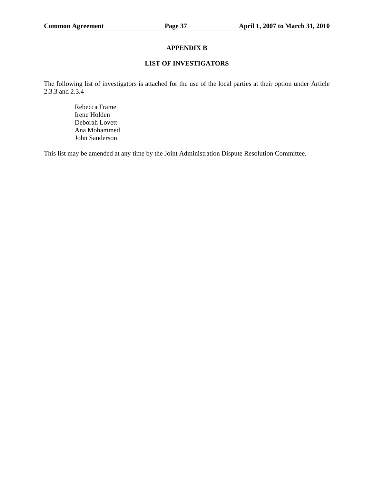## **APPENDIX B**

## **LIST OF INVESTIGATORS**

The following list of investigators is attached for the use of the local parties at their option under Article 2.3.3 and 2.3.4

> Rebecca Frame Irene Holden Deborah Lovett Ana Mohammed John Sanderson

This list may be amended at any time by the Joint Administration Dispute Resolution Committee.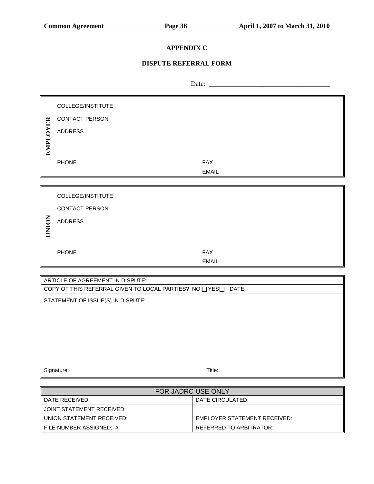# **APPENDIX C**

# **DISPUTE REFERRAL FORM**

Date: \_\_\_\_\_\_\_\_\_\_\_\_\_\_\_\_\_\_\_\_\_\_\_\_\_\_\_\_\_\_\_\_\_\_\_\_

|                      | COLLEGE/INSTITUTE     |              |
|----------------------|-----------------------|--------------|
| ER                   | <b>CONTACT PERSON</b> |              |
| $\mathbf{S}$<br>EMPL | <b>ADDRESS</b>        |              |
|                      | <b>PHONE</b>          | <b>FAX</b>   |
|                      |                       | <b>EMAIL</b> |

|              | COLLEGE/INSTITUTE     |              |
|--------------|-----------------------|--------------|
|              | <b>CONTACT PERSON</b> |              |
| <b>UNION</b> | <b>ADDRESS</b>        |              |
|              |                       |              |
|              | <b>PHONE</b>          | <b>FAX</b>   |
|              |                       | <b>EMAIL</b> |

| ARTICLE OF AGREEMENT IN DISPUTE:                              |  |  |
|---------------------------------------------------------------|--|--|
| COPY OF THIS REFERRAL GIVEN TO LOCAL PARTIES? NO □ YES□ DATE: |  |  |
| STATEMENT OF ISSUE(S) IN DISPUTE:                             |  |  |
|                                                               |  |  |
|                                                               |  |  |
|                                                               |  |  |
|                                                               |  |  |
|                                                               |  |  |
| Title:<br>Signature:                                          |  |  |

| <b>FOR JADRC USE ONLY</b>    |                              |  |
|------------------------------|------------------------------|--|
| l DATE RECEIVED:             | DATE CIRCULATED:             |  |
| I JOINT STATEMENT RECEIVED:  |                              |  |
| II UNION STATEMENT RECEIVED: | EMPLOYER STATEMENT RECEIVED: |  |
| ll FILE NUMBER ASSIGNED: #   | REFERRED TO ARBITRATOR:      |  |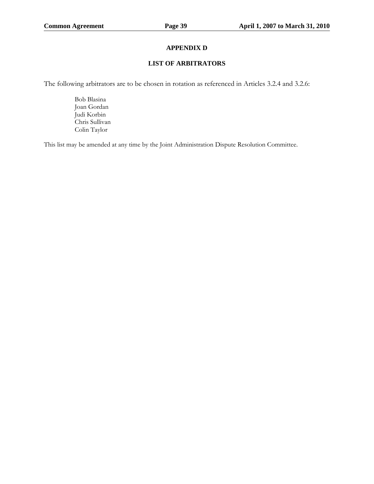# **APPENDIX D**

#### **LIST OF ARBITRATORS**

The following arbitrators are to be chosen in rotation as referenced in Articles 3.2.4 and 3.2.6:

 Bob Blasina Joan Gordan Judi Korbin Chris Sullivan Colin Taylor

This list may be amended at any time by the Joint Administration Dispute Resolution Committee.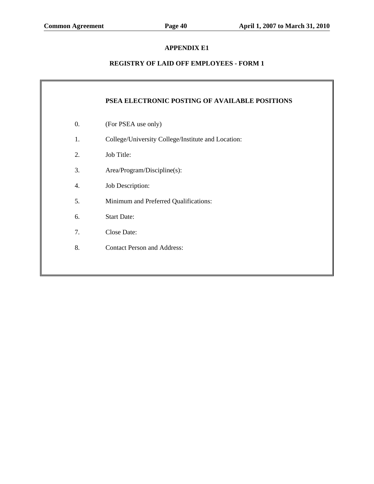# **APPENDIX E1**

# **REGISTRY OF LAID OFF EMPLOYEES - FORM 1**

|                  | PSEA ELECTRONIC POSTING OF AVAILABLE POSITIONS     |
|------------------|----------------------------------------------------|
| $\overline{0}$ . | (For PSEA use only)                                |
| 1.               | College/University College/Institute and Location: |
| 2.               | Job Title:                                         |
| 3.               | Area/Program/Discipline(s):                        |
| 4.               | Job Description:                                   |
| 5.               | Minimum and Preferred Qualifications:              |
| 6.               | <b>Start Date:</b>                                 |
| 7.               | Close Date:                                        |
| 8.               | <b>Contact Person and Address:</b>                 |
|                  |                                                    |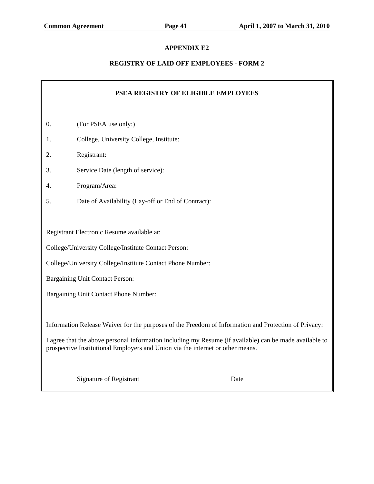# **APPENDIX E2**

# **REGISTRY OF LAID OFF EMPLOYEES - FORM 2**

| PSEA REGISTRY OF ELIGIBLE EMPLOYEES                                                                                                                                                                                                                                                               |                                                            |      |  |
|---------------------------------------------------------------------------------------------------------------------------------------------------------------------------------------------------------------------------------------------------------------------------------------------------|------------------------------------------------------------|------|--|
| $\overline{0}$ .                                                                                                                                                                                                                                                                                  | (For PSEA use only:)                                       |      |  |
| 1.                                                                                                                                                                                                                                                                                                | College, University College, Institute:                    |      |  |
| 2.                                                                                                                                                                                                                                                                                                | Registrant:                                                |      |  |
| 3.                                                                                                                                                                                                                                                                                                | Service Date (length of service):                          |      |  |
| 4.                                                                                                                                                                                                                                                                                                | Program/Area:                                              |      |  |
| 5.                                                                                                                                                                                                                                                                                                | Date of Availability (Lay-off or End of Contract):         |      |  |
|                                                                                                                                                                                                                                                                                                   |                                                            |      |  |
|                                                                                                                                                                                                                                                                                                   | Registrant Electronic Resume available at:                 |      |  |
|                                                                                                                                                                                                                                                                                                   | College/University College/Institute Contact Person:       |      |  |
|                                                                                                                                                                                                                                                                                                   | College/University College/Institute Contact Phone Number: |      |  |
|                                                                                                                                                                                                                                                                                                   | Bargaining Unit Contact Person:                            |      |  |
|                                                                                                                                                                                                                                                                                                   | Bargaining Unit Contact Phone Number:                      |      |  |
| Information Release Waiver for the purposes of the Freedom of Information and Protection of Privacy:<br>I agree that the above personal information including my Resume (if available) can be made available to<br>prospective Institutional Employers and Union via the internet or other means. |                                                            |      |  |
|                                                                                                                                                                                                                                                                                                   | Signature of Registrant                                    | Date |  |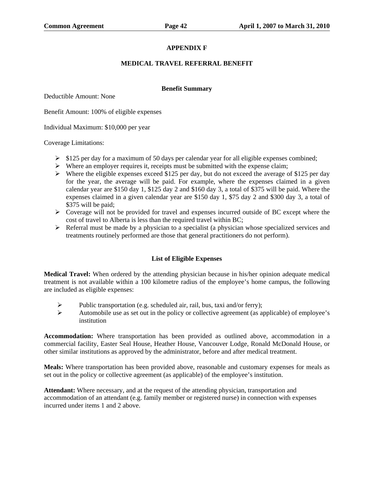# **APPENDIX F**

#### **MEDICAL TRAVEL REFERRAL BENEFIT**

#### **Benefit Summary**

Deductible Amount: None

Benefit Amount: 100% of eligible expenses

Individual Maximum: \$10,000 per year

Coverage Limitations:

- $\triangleright$  \$125 per day for a maximum of 50 days per calendar year for all eligible expenses combined;
- $\triangleright$  Where an employer requires it, receipts must be submitted with the expense claim;
- $\triangleright$  Where the eligible expenses exceed \$125 per day, but do not exceed the average of \$125 per day for the year, the average will be paid. For example, where the expenses claimed in a given calendar year are \$150 day 1, \$125 day 2 and \$160 day 3, a total of \$375 will be paid. Where the expenses claimed in a given calendar year are \$150 day 1, \$75 day 2 and \$300 day 3, a total of \$375 will be paid;
- $\triangleright$  Coverage will not be provided for travel and expenses incurred outside of BC except where the cost of travel to Alberta is less than the required travel within BC;
- $\triangleright$  Referral must be made by a physician to a specialist (a physician whose specialized services and treatments routinely performed are those that general practitioners do not perform).

## **List of Eligible Expenses**

**Medical Travel:** When ordered by the attending physician because in his/her opinion adequate medical treatment is not available within a 100 kilometre radius of the employee's home campus, the following are included as eligible expenses:

- ublic transportation (e.g. scheduled air, rail, bus, taxi and/or ferry);<br>Automobile use as set out in the policy or collective agreement (as an
- ¾ Automobile use as set out in the policy or collective agreement (as applicable) of employee's institution

**Accommodation:** Where transportation has been provided as outlined above, accommodation in a commercial facility, Easter Seal House, Heather House, Vancouver Lodge, Ronald McDonald House, or other similar institutions as approved by the administrator, before and after medical treatment.

**Meals:** Where transportation has been provided above, reasonable and customary expenses for meals as set out in the policy or collective agreement (as applicable) of the employee's institution.

**Attendant:** Where necessary, and at the request of the attending physician, transportation and accommodation of an attendant (e.g. family member or registered nurse) in connection with expenses incurred under items 1 and 2 above.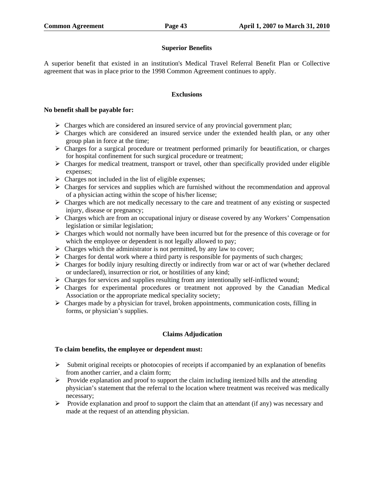## **Superior Benefits**

A superior benefit that existed in an institution's Medical Travel Referral Benefit Plan or Collective agreement that was in place prior to the 1998 Common Agreement continues to apply.

#### **Exclusions**

#### **No benefit shall be payable for:**

- $\triangleright$  Charges which are considered an insured service of any provincial government plan;
- $\triangleright$  Charges which are considered an insured service under the extended health plan, or any other group plan in force at the time;
- ¾ Charges for a surgical procedure or treatment performed primarily for beautification, or charges for hospital confinement for such surgical procedure or treatment;
- $\triangleright$  Charges for medical treatment, transport or travel, other than specifically provided under eligible expenses;
- $\triangleright$  Charges not included in the list of eligible expenses;
- $\triangleright$  Charges for services and supplies which are furnished without the recommendation and approval of a physician acting within the scope of his/her license;
- $\triangleright$  Charges which are not medically necessary to the care and treatment of any existing or suspected injury, disease or pregnancy;
- ¾ Charges which are from an occupational injury or disease covered by any Workers' Compensation legislation or similar legislation;
- $\triangleright$  Charges which would not normally have been incurred but for the presence of this coverage or for which the employee or dependent is not legally allowed to pay;
- $\triangleright$  Charges which the administrator is not permitted, by any law to cover;
- $\triangleright$  Charges for dental work where a third party is responsible for payments of such charges;
- $\triangleright$  Charges for bodily injury resulting directly or indirectly from war or act of war (whether declared or undeclared), insurrection or riot, or hostilities of any kind;
- $\triangleright$  Charges for services and supplies resulting from any intentionally self-inflicted wound;
- $\triangleright$  Charges for experimental procedures or treatment not approved by the Canadian Medical Association or the appropriate medical speciality society;
- $\triangleright$  Charges made by a physician for travel, broken appointments, communication costs, filling in forms, or physician's supplies.

## **Claims Adjudication**

## **To claim benefits, the employee or dependent must:**

- $\triangleright$  Submit original receipts or photocopies of receipts if accompanied by an explanation of benefits from another carrier, and a claim form;
- $\triangleright$  Provide explanation and proof to support the claim including itemized bills and the attending physician's statement that the referral to the location where treatment was received was medically necessary;
- ¾ Provide explanation and proof to support the claim that an attendant (if any) was necessary and made at the request of an attending physician.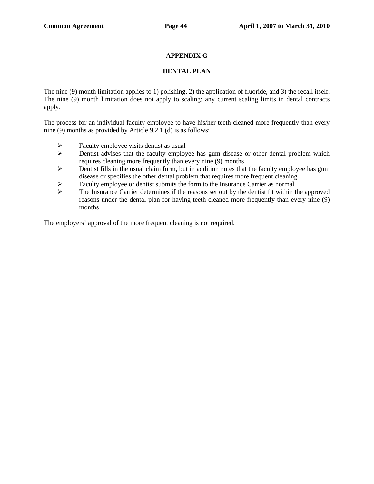# **APPENDIX G**

## **DENTAL PLAN**

The nine (9) month limitation applies to 1) polishing, 2) the application of fluoride, and 3) the recall itself. The nine (9) month limitation does not apply to scaling; any current scaling limits in dental contracts apply.

The process for an individual faculty employee to have his/her teeth cleaned more frequently than every nine (9) months as provided by Article 9.2.1 (d) is as follows:

- $\triangleright$  Faculty employee visits dentist as usual<br> $\triangleright$  Dentist advises that the faculty employee
- Dentist advises that the faculty employee has gum disease or other dental problem which requires cleaning more frequently than every nine (9) months
- $\triangleright$  Dentist fills in the usual claim form, but in addition notes that the faculty employee has gum disease or specifies the other dental problem that requires more frequent cleaning
- Example 1 Faculty employee or dentist submits the form to the Insurance Carrier as normal The Insurance Carrier determines if the reasons set out by the dentist fit within t
- ¾ The Insurance Carrier determines if the reasons set out by the dentist fit within the approved reasons under the dental plan for having teeth cleaned more frequently than every nine (9) months

The employers' approval of the more frequent cleaning is not required.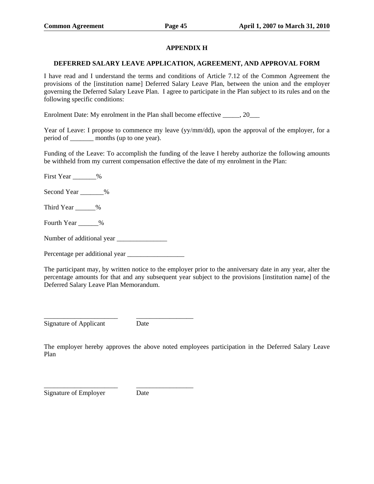## **APPENDIX H**

#### **DEFERRED SALARY LEAVE APPLICATION, AGREEMENT, AND APPROVAL FORM**

I have read and I understand the terms and conditions of Article 7.12 of the Common Agreement the provisions of the [institution name] Deferred Salary Leave Plan, between the union and the employer governing the Deferred Salary Leave Plan. I agree to participate in the Plan subject to its rules and on the following specific conditions:

Enrolment Date: My enrolment in the Plan shall become effective  $\qquad \qquad , 20$ 

Year of Leave: I propose to commence my leave (yy/mm/dd), upon the approval of the employer, for a period of \_\_\_\_\_\_\_ months (up to one year).

Funding of the Leave: To accomplish the funding of the leave I hereby authorize the following amounts be withheld from my current compensation effective the date of my enrolment in the Plan:

First Year \_\_\_\_\_\_\_%

Second Year  $\%$ 

Third Year \_\_\_\_\_\_%

Fourth Year  $\%$ 

Number of additional year \_\_\_\_\_\_\_\_\_\_\_\_\_\_\_

Percentage per additional year \_\_\_\_\_\_\_\_\_\_\_\_\_\_\_\_\_

The participant may, by written notice to the employer prior to the anniversary date in any year, alter the percentage amounts for that and any subsequent year subject to the provisions [institution name] of the Deferred Salary Leave Plan Memorandum.

Signature of Applicant Date

\_\_\_\_\_\_\_\_\_\_\_\_\_\_\_\_\_\_\_\_\_\_ \_\_\_\_\_\_\_\_\_\_\_\_\_\_\_\_\_

The employer hereby approves the above noted employees participation in the Deferred Salary Leave Plan

Signature of Employer Date

\_\_\_\_\_\_\_\_\_\_\_\_\_\_\_\_\_\_\_\_\_\_ \_\_\_\_\_\_\_\_\_\_\_\_\_\_\_\_\_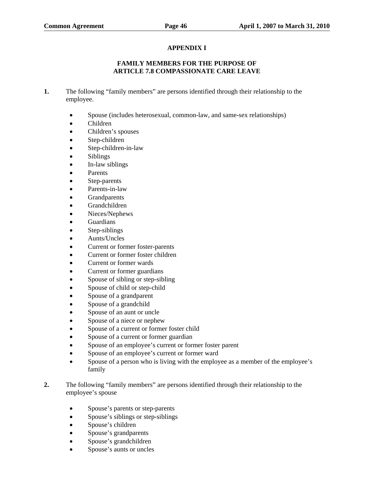# **APPENDIX I**

## **FAMILY MEMBERS FOR THE PURPOSE OF ARTICLE 7.8 COMPASSIONATE CARE LEAVE**

- **1.** The following "family members" are persons identified through their relationship to the employee.
	- Spouse (includes heterosexual, common-law, and same-sex relationships)
	- Children
	- Children's spouses
	- Step-children
	- Step-children-in-law
	- Siblings
	- In-law siblings
	- Parents
	- Step-parents
	- Parents-in-law
	- Grandparents
	- Grandchildren
	- Nieces/Nephews
	- Guardians
	- Step-siblings
	- Aunts/Uncles
	- Current or former foster-parents
	- Current or former foster children
	- Current or former wards
	- Current or former guardians
	- Spouse of sibling or step-sibling
	- Spouse of child or step-child
	- Spouse of a grandparent
	- Spouse of a grandchild
	- Spouse of an aunt or uncle
	- Spouse of a niece or nephew
	- Spouse of a current or former foster child
	- Spouse of a current or former guardian
	- Spouse of an employee's current or former foster parent
	- Spouse of an employee's current or former ward
	- Spouse of a person who is living with the employee as a member of the employee's family
- **2.** The following "family members" are persons identified through their relationship to the employee's spouse
	- Spouse's parents or step-parents
	- Spouse's siblings or step-siblings
	- Spouse's children
	- Spouse's grandparents
	- Spouse's grandchildren
	- Spouse's aunts or uncles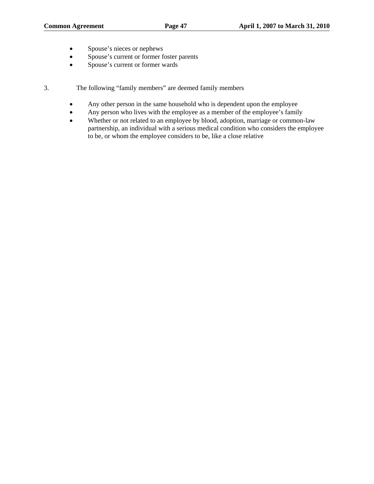- Spouse's nieces or nephews
- Spouse's current or former foster parents
- Spouse's current or former wards

3. The following "family members" are deemed family members

- Any other person in the same household who is dependent upon the employee
- Any person who lives with the employee as a member of the employee's family
- Whether or not related to an employee by blood, adoption, marriage or common-law partnership, an individual with a serious medical condition who considers the employee to be, or whom the employee considers to be, like a close relative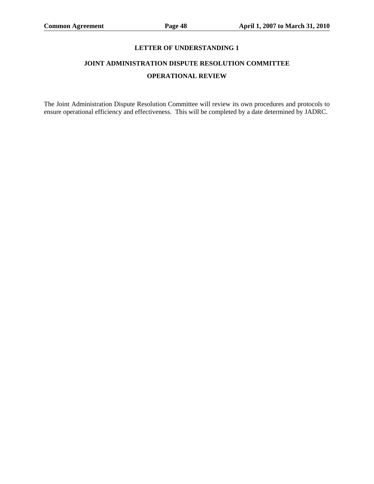# **JOINT ADMINISTRATION DISPUTE RESOLUTION COMMITTEE OPERATIONAL REVIEW**

The Joint Administration Dispute Resolution Committee will review its own procedures and protocols to ensure operational efficiency and effectiveness. This will be completed by a date determined by JADRC.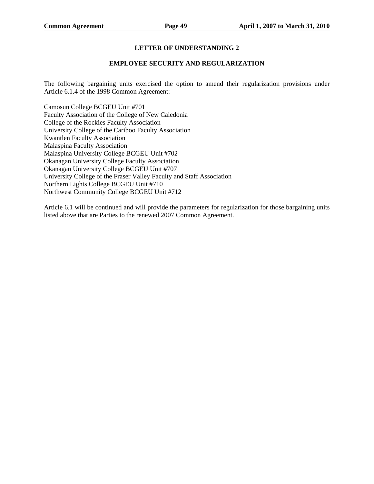#### **EMPLOYEE SECURITY AND REGULARIZATION**

The following bargaining units exercised the option to amend their regularization provisions under Article 6.1.4 of the 1998 Common Agreement:

Camosun College BCGEU Unit #701 Faculty Association of the College of New Caledonia College of the Rockies Faculty Association University College of the Cariboo Faculty Association Kwantlen Faculty Association Malaspina Faculty Association Malaspina University College BCGEU Unit #702 Okanagan University College Faculty Association Okanagan University College BCGEU Unit #707 University College of the Fraser Valley Faculty and Staff Association Northern Lights College BCGEU Unit #710 Northwest Community College BCGEU Unit #712

Article 6.1 will be continued and will provide the parameters for regularization for those bargaining units listed above that are Parties to the renewed 2007 Common Agreement.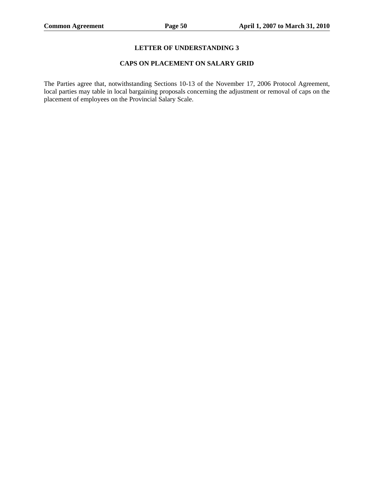#### **CAPS ON PLACEMENT ON SALARY GRID**

The Parties agree that, notwithstanding Sections 10-13 of the November 17, 2006 Protocol Agreement, local parties may table in local bargaining proposals concerning the adjustment or removal of caps on the placement of employees on the Provincial Salary Scale.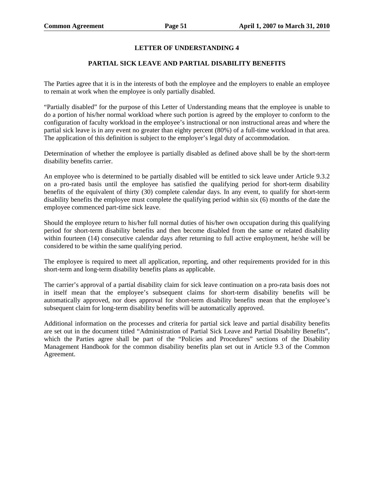## **PARTIAL SICK LEAVE AND PARTIAL DISABILITY BENEFITS**

The Parties agree that it is in the interests of both the employee and the employers to enable an employee to remain at work when the employee is only partially disabled.

"Partially disabled" for the purpose of this Letter of Understanding means that the employee is unable to do a portion of his/her normal workload where such portion is agreed by the employer to conform to the configuration of faculty workload in the employee's instructional or non instructional areas and where the partial sick leave is in any event no greater than eighty percent (80%) of a full-time workload in that area. The application of this definition is subject to the employer's legal duty of accommodation.

Determination of whether the employee is partially disabled as defined above shall be by the short-term disability benefits carrier.

An employee who is determined to be partially disabled will be entitled to sick leave under Article 9.3.2 on a pro-rated basis until the employee has satisfied the qualifying period for short-term disability benefits of the equivalent of thirty (30) complete calendar days. In any event, to qualify for short-term disability benefits the employee must complete the qualifying period within six (6) months of the date the employee commenced part-time sick leave.

Should the employee return to his/her full normal duties of his/her own occupation during this qualifying period for short-term disability benefits and then become disabled from the same or related disability within fourteen (14) consecutive calendar days after returning to full active employment, he/she will be considered to be within the same qualifying period.

The employee is required to meet all application, reporting, and other requirements provided for in this short-term and long-term disability benefits plans as applicable.

The carrier's approval of a partial disability claim for sick leave continuation on a pro-rata basis does not in itself mean that the employee's subsequent claims for short-term disability benefits will be automatically approved, nor does approval for short-term disability benefits mean that the employee's subsequent claim for long-term disability benefits will be automatically approved.

Additional information on the processes and criteria for partial sick leave and partial disability benefits are set out in the document titled "Administration of Partial Sick Leave and Partial Disability Benefits", which the Parties agree shall be part of the "Policies and Procedures" sections of the Disability Management Handbook for the common disability benefits plan set out in Article 9.3 of the Common Agreement.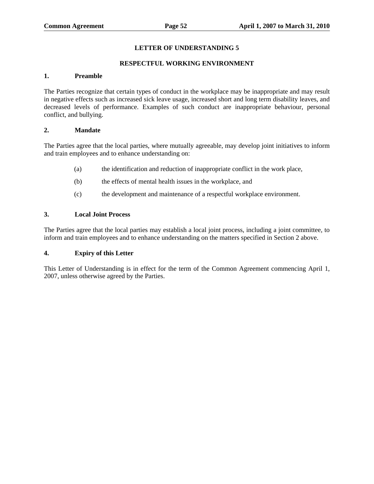#### **RESPECTFUL WORKING ENVIRONMENT**

#### **1. Preamble**

The Parties recognize that certain types of conduct in the workplace may be inappropriate and may result in negative effects such as increased sick leave usage, increased short and long term disability leaves, and decreased levels of performance. Examples of such conduct are inappropriate behaviour, personal conflict, and bullying.

#### **2. Mandate**

The Parties agree that the local parties, where mutually agreeable, may develop joint initiatives to inform and train employees and to enhance understanding on:

- (a) the identification and reduction of inappropriate conflict in the work place,
- (b) the effects of mental health issues in the workplace, and
- (c) the development and maintenance of a respectful workplace environment.

#### **3. Local Joint Process**

The Parties agree that the local parties may establish a local joint process, including a joint committee, to inform and train employees and to enhance understanding on the matters specified in Section 2 above.

## **4. Expiry of this Letter**

This Letter of Understanding is in effect for the term of the Common Agreement commencing April 1, 2007, unless otherwise agreed by the Parties.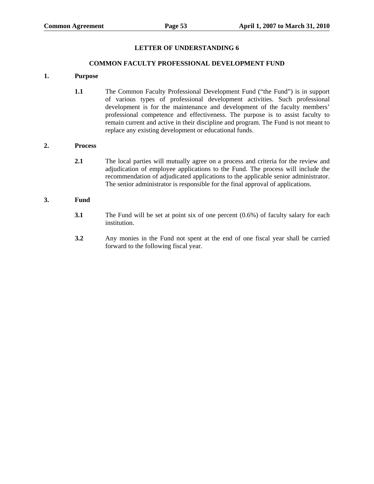#### **COMMON FACULTY PROFESSIONAL DEVELOPMENT FUND**

#### **1. Purpose**

**1.1** The Common Faculty Professional Development Fund ("the Fund") is in support of various types of professional development activities. Such professional development is for the maintenance and development of the faculty members' professional competence and effectiveness. The purpose is to assist faculty to remain current and active in their discipline and program. The Fund is not meant to replace any existing development or educational funds.

#### **2. Process**

**2.1** The local parties will mutually agree on a process and criteria for the review and adjudication of employee applications to the Fund. The process will include the recommendation of adjudicated applications to the applicable senior administrator. The senior administrator is responsible for the final approval of applications.

# **3. Fund**

- **3.1** The Fund will be set at point six of one percent (0.6%) of faculty salary for each institution.
- **3.2** Any monies in the Fund not spent at the end of one fiscal year shall be carried forward to the following fiscal year.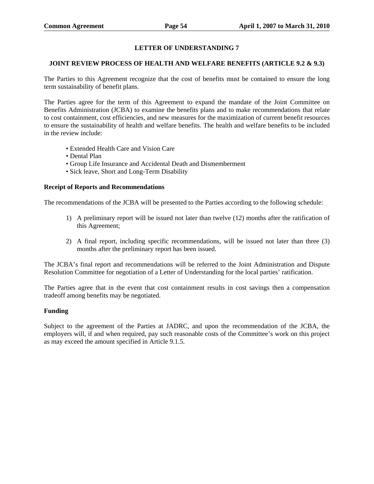#### **JOINT REVIEW PROCESS OF HEALTH AND WELFARE BENEFITS (ARTICLE 9.2 & 9.3)**

The Parties to this Agreement recognize that the cost of benefits must be contained to ensure the long term sustainability of benefit plans.

The Parties agree for the term of this Agreement to expand the mandate of the Joint Committee on Benefits Administration (JCBA) to examine the benefits plans and to make recommendations that relate to cost containment, cost efficiencies, and new measures for the maximization of current benefit resources to ensure the sustainability of health and welfare benefits. The health and welfare benefits to be included in the review include:

- Extended Health Care and Vision Care
- Dental Plan
- Group Life Insurance and Accidental Death and Dismemberment
- Sick leave, Short and Long-Term Disability

#### **Receipt of Reports and Recommendations**

The recommendations of the JCBA will be presented to the Parties according to the following schedule:

- 1) A preliminary report will be issued not later than twelve (12) months after the ratification of this Agreement;
- 2) A final report, including specific recommendations, will be issued not later than three (3) months after the preliminary report has been issued.

The JCBA's final report and recommendations will be referred to the Joint Administration and Dispute Resolution Committee for negotiation of a Letter of Understanding for the local parties' ratification.

The Parties agree that in the event that cost containment results in cost savings then a compensation tradeoff among benefits may be negotiated.

## **Funding**

Subject to the agreement of the Parties at JADRC, and upon the recommendation of the JCBA, the employers will, if and when required, pay such reasonable costs of the Committee's work on this project as may exceed the amount specified in Article 9.1.5.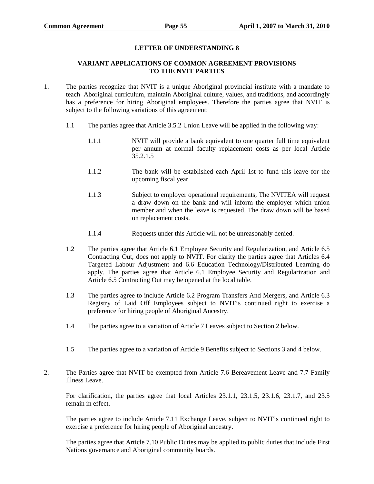#### **VARIANT APPLICATIONS OF COMMON AGREEMENT PROVISIONS TO THE NVIT PARTIES**

- 1. The parties recognize that NVIT is a unique Aboriginal provincial institute with a mandate to teach Aboriginal curriculum, maintain Aboriginal culture, values, and traditions, and accordingly has a preference for hiring Aboriginal employees. Therefore the parties agree that NVIT is subject to the following variations of this agreement:
	- 1.1 The parties agree that Article 3.5.2 Union Leave will be applied in the following way:
		- 1.1.1 NVIT will provide a bank equivalent to one quarter full time equivalent per annum at normal faculty replacement costs as per local Article 35.2.1.5
		- 1.1.2 The bank will be established each April 1st to fund this leave for the upcoming fiscal year.
		- 1.1.3 Subject to employer operational requirements, The NVITEA will request a draw down on the bank and will inform the employer which union member and when the leave is requested. The draw down will be based on replacement costs.
		- 1.1.4 Requests under this Article will not be unreasonably denied.
	- 1.2 The parties agree that Article 6.1 Employee Security and Regularization, and Article 6.5 Contracting Out, does not apply to NVIT. For clarity the parties agree that Articles 6.4 Targeted Labour Adjustment and 6.6 Education Technology/Distributed Learning do apply. The parties agree that Article 6.1 Employee Security and Regularization and Article 6.5 Contracting Out may be opened at the local table.
	- 1.3 The parties agree to include Article 6.2 Program Transfers And Mergers, and Article 6.3 Registry of Laid Off Employees subject to NVIT's continued right to exercise a preference for hiring people of Aboriginal Ancestry.
	- 1.4 The parties agree to a variation of Article 7 Leaves subject to Section 2 below.
	- 1.5 The parties agree to a variation of Article 9 Benefits subject to Sections 3 and 4 below.
- 2. The Parties agree that NVIT be exempted from Article 7.6 Bereavement Leave and 7.7 Family Illness Leave.

For clarification, the parties agree that local Articles 23.1.1, 23.1.5, 23.1.6, 23.1.7, and 23.5 remain in effect.

The parties agree to include Article 7.11 Exchange Leave, subject to NVIT's continued right to exercise a preference for hiring people of Aboriginal ancestry.

The parties agree that Article 7.10 Public Duties may be applied to public duties that include First Nations governance and Aboriginal community boards.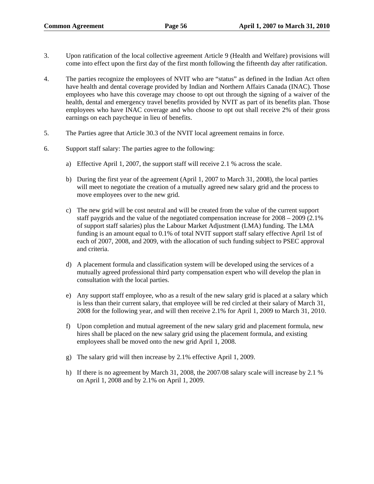- 3. Upon ratification of the local collective agreement Article 9 (Health and Welfare) provisions will come into effect upon the first day of the first month following the fifteenth day after ratification.
- 4. The parties recognize the employees of NVIT who are "status" as defined in the Indian Act often have health and dental coverage provided by Indian and Northern Affairs Canada (INAC). Those employees who have this coverage may choose to opt out through the signing of a waiver of the health, dental and emergency travel benefits provided by NVIT as part of its benefits plan. Those employees who have INAC coverage and who choose to opt out shall receive 2% of their gross earnings on each paycheque in lieu of benefits.
- 5. The Parties agree that Article 30.3 of the NVIT local agreement remains in force.
- 6. Support staff salary: The parties agree to the following:
	- a) Effective April 1, 2007, the support staff will receive 2.1 % across the scale.
	- b) During the first year of the agreement (April 1, 2007 to March 31, 2008), the local parties will meet to negotiate the creation of a mutually agreed new salary grid and the process to move employees over to the new grid.
	- c) The new grid will be cost neutral and will be created from the value of the current support staff paygrids and the value of the negotiated compensation increase for 2008 – 2009 (2.1% of support staff salaries) plus the Labour Market Adjustment (LMA) funding. The LMA funding is an amount equal to 0.1% of total NVIT support staff salary effective April 1st of each of 2007, 2008, and 2009, with the allocation of such funding subject to PSEC approval and criteria.
	- d) A placement formula and classification system will be developed using the services of a mutually agreed professional third party compensation expert who will develop the plan in consultation with the local parties.
	- e) Any support staff employee, who as a result of the new salary grid is placed at a salary which is less than their current salary, that employee will be red circled at their salary of March 31, 2008 for the following year, and will then receive 2.1% for April 1, 2009 to March 31, 2010.
	- f) Upon completion and mutual agreement of the new salary grid and placement formula, new hires shall be placed on the new salary grid using the placement formula, and existing employees shall be moved onto the new grid April 1, 2008.
	- g) The salary grid will then increase by 2.1% effective April 1, 2009.
	- h) If there is no agreement by March 31, 2008, the 2007/08 salary scale will increase by 2.1 % on April 1, 2008 and by 2.1% on April 1, 2009.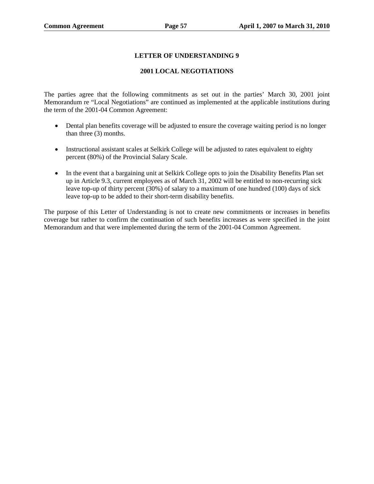## **2001 LOCAL NEGOTIATIONS**

The parties agree that the following commitments as set out in the parties' March 30, 2001 joint Memorandum re "Local Negotiations" are continued as implemented at the applicable institutions during the term of the 2001-04 Common Agreement:

- Dental plan benefits coverage will be adjusted to ensure the coverage waiting period is no longer than three (3) months.
- Instructional assistant scales at Selkirk College will be adjusted to rates equivalent to eighty percent (80%) of the Provincial Salary Scale.
- In the event that a bargaining unit at Selkirk College opts to join the Disability Benefits Plan set up in Article 9.3, current employees as of March 31, 2002 will be entitled to non-recurring sick leave top-up of thirty percent (30%) of salary to a maximum of one hundred (100) days of sick leave top-up to be added to their short-term disability benefits.

The purpose of this Letter of Understanding is not to create new commitments or increases in benefits coverage but rather to confirm the continuation of such benefits increases as were specified in the joint Memorandum and that were implemented during the term of the 2001-04 Common Agreement.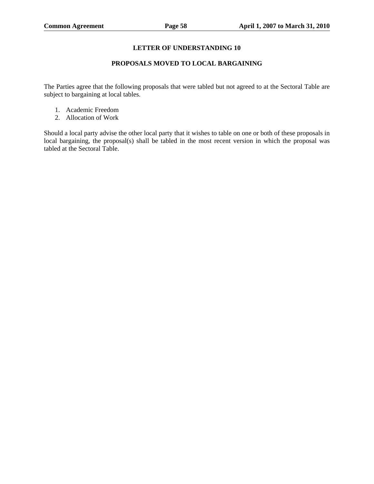# **PROPOSALS MOVED TO LOCAL BARGAINING**

The Parties agree that the following proposals that were tabled but not agreed to at the Sectoral Table are subject to bargaining at local tables.

- 1. Academic Freedom
- 2. Allocation of Work

Should a local party advise the other local party that it wishes to table on one or both of these proposals in local bargaining, the proposal(s) shall be tabled in the most recent version in which the proposal was tabled at the Sectoral Table.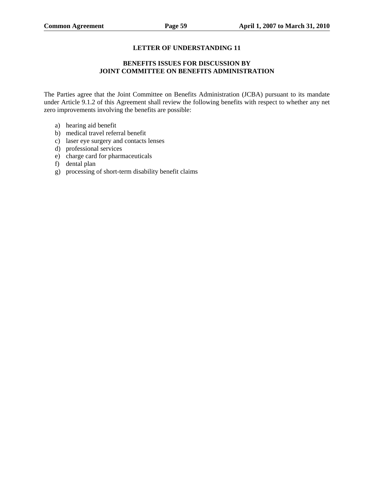# **BENEFITS ISSUES FOR DISCUSSION BY JOINT COMMITTEE ON BENEFITS ADMINISTRATION**

The Parties agree that the Joint Committee on Benefits Administration (JCBA) pursuant to its mandate under Article 9.1.2 of this Agreement shall review the following benefits with respect to whether any net zero improvements involving the benefits are possible:

- a) hearing aid benefit
- b) medical travel referral benefit
- c) laser eye surgery and contacts lenses
- d) professional services
- e) charge card for pharmaceuticals
- f) dental plan
- g) processing of short-term disability benefit claims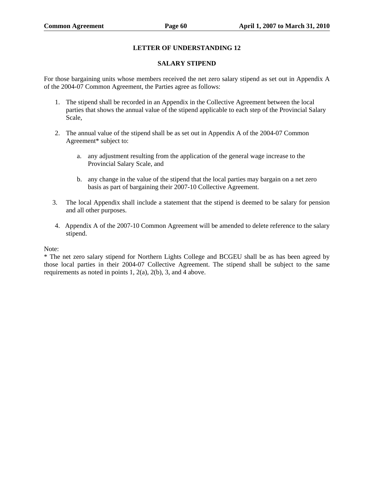#### **SALARY STIPEND**

For those bargaining units whose members received the net zero salary stipend as set out in Appendix A of the 2004-07 Common Agreement, the Parties agree as follows:

- 1. The stipend shall be recorded in an Appendix in the Collective Agreement between the local parties that shows the annual value of the stipend applicable to each step of the Provincial Salary Scale,
- 2. The annual value of the stipend shall be as set out in Appendix A of the 2004-07 Common Agreement\* subject to:
	- a. any adjustment resulting from the application of the general wage increase to the Provincial Salary Scale, and
	- b. any change in the value of the stipend that the local parties may bargain on a net zero basis as part of bargaining their 2007-10 Collective Agreement.
- 3. The local Appendix shall include a statement that the stipend is deemed to be salary for pension and all other purposes.
- 4. Appendix A of the 2007-10 Common Agreement will be amended to delete reference to the salary stipend.

Note:

\* The net zero salary stipend for Northern Lights College and BCGEU shall be as has been agreed by those local parties in their 2004-07 Collective Agreement. The stipend shall be subject to the same requirements as noted in points 1, 2(a), 2(b), 3, and 4 above.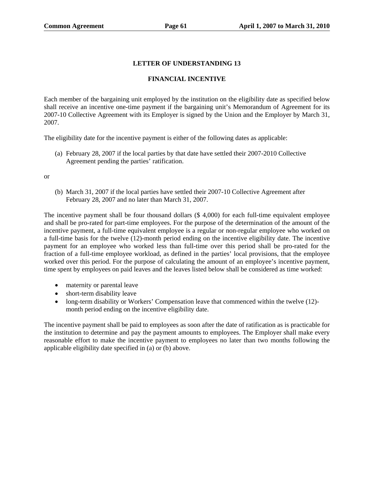# **FINANCIAL INCENTIVE**

Each member of the bargaining unit employed by the institution on the eligibility date as specified below shall receive an incentive one-time payment if the bargaining unit's Memorandum of Agreement for its 2007-10 Collective Agreement with its Employer is signed by the Union and the Employer by March 31, 2007.

The eligibility date for the incentive payment is either of the following dates as applicable:

(a) February 28, 2007 if the local parties by that date have settled their 2007-2010 Collective Agreement pending the parties' ratification.

or

(b) March 31, 2007 if the local parties have settled their 2007-10 Collective Agreement after February 28, 2007 and no later than March 31, 2007.

The incentive payment shall be four thousand dollars (\$ 4,000) for each full-time equivalent employee and shall be pro-rated for part-time employees. For the purpose of the determination of the amount of the incentive payment, a full-time equivalent employee is a regular or non-regular employee who worked on a full-time basis for the twelve (12)-month period ending on the incentive eligibility date. The incentive payment for an employee who worked less than full-time over this period shall be pro-rated for the fraction of a full-time employee workload, as defined in the parties' local provisions, that the employee worked over this period. For the purpose of calculating the amount of an employee's incentive payment, time spent by employees on paid leaves and the leaves listed below shall be considered as time worked:

- maternity or parental leave
- short-term disability leave
- long-term disability or Workers' Compensation leave that commenced within the twelve (12) month period ending on the incentive eligibility date.

The incentive payment shall be paid to employees as soon after the date of ratification as is practicable for the institution to determine and pay the payment amounts to employees. The Employer shall make every reasonable effort to make the incentive payment to employees no later than two months following the applicable eligibility date specified in (a) or (b) above.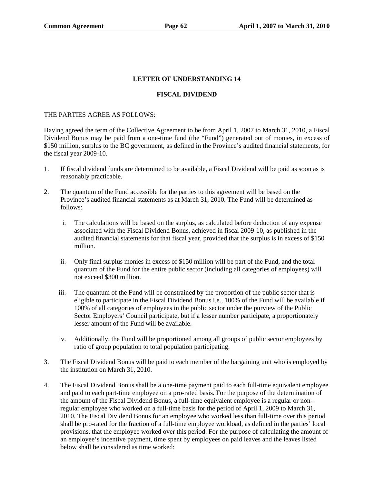## **FISCAL DIVIDEND**

#### THE PARTIES AGREE AS FOLLOWS:

Having agreed the term of the Collective Agreement to be from April 1, 2007 to March 31, 2010, a Fiscal Dividend Bonus may be paid from a one-time fund (the "Fund") generated out of monies, in excess of \$150 million, surplus to the BC government, as defined in the Province's audited financial statements, for the fiscal year 2009-10.

- 1. If fiscal dividend funds are determined to be available, a Fiscal Dividend will be paid as soon as is reasonably practicable.
- 2. The quantum of the Fund accessible for the parties to this agreement will be based on the Province's audited financial statements as at March 31, 2010. The Fund will be determined as follows:
	- i. The calculations will be based on the surplus, as calculated before deduction of any expense associated with the Fiscal Dividend Bonus, achieved in fiscal 2009-10, as published in the audited financial statements for that fiscal year, provided that the surplus is in excess of \$150 million.
	- ii. Only final surplus monies in excess of \$150 million will be part of the Fund, and the total quantum of the Fund for the entire public sector (including all categories of employees) will not exceed \$300 million.
	- iii. The quantum of the Fund will be constrained by the proportion of the public sector that is eligible to participate in the Fiscal Dividend Bonus i.e., 100% of the Fund will be available if 100% of all categories of employees in the public sector under the purview of the Public Sector Employers' Council participate, but if a lesser number participate, a proportionately lesser amount of the Fund will be available.
	- iv. Additionally, the Fund will be proportioned among all groups of public sector employees by ratio of group population to total population participating.
- 3. The Fiscal Dividend Bonus will be paid to each member of the bargaining unit who is employed by the institution on March 31, 2010.
- 4. The Fiscal Dividend Bonus shall be a one-time payment paid to each full-time equivalent employee and paid to each part-time employee on a pro-rated basis. For the purpose of the determination of the amount of the Fiscal Dividend Bonus, a full-time equivalent employee is a regular or nonregular employee who worked on a full-time basis for the period of April 1, 2009 to March 31, 2010. The Fiscal Dividend Bonus for an employee who worked less than full-time over this period shall be pro-rated for the fraction of a full-time employee workload, as defined in the parties' local provisions, that the employee worked over this period. For the purpose of calculating the amount of an employee's incentive payment, time spent by employees on paid leaves and the leaves listed below shall be considered as time worked: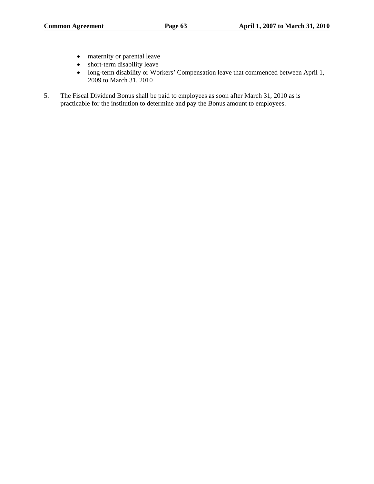- maternity or parental leave
- short-term disability leave
- long-term disability or Workers' Compensation leave that commenced between April 1, 2009 to March 31, 2010
- 5. The Fiscal Dividend Bonus shall be paid to employees as soon after March 31, 2010 as is practicable for the institution to determine and pay the Bonus amount to employees.